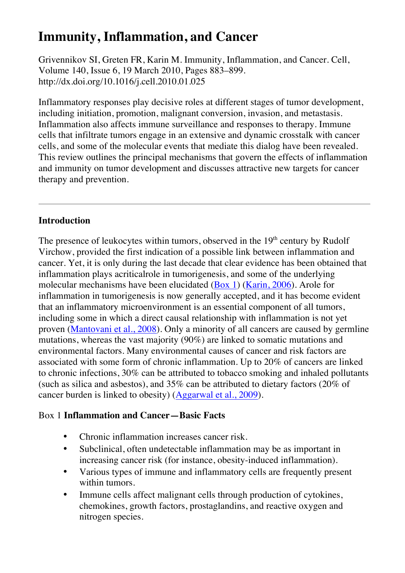# **Immunity, Inflammation, and Cancer**

Grivennikov SI, Greten FR, Karin M. Immunity, Inflammation, and Cancer. Cell, Volume 140, Issue 6, 19 March 2010, Pages 883–899. http://dx.doi.org/10.1016/j.cell.2010.01.025

Inflammatory responses play decisive roles at different stages of tumor development, including initiation, promotion, malignant conversion, invasion, and metastasis. Inflammation also affects immune surveillance and responses to therapy. Immune cells that infiltrate tumors engage in an extensive and dynamic crosstalk with cancer cells, and some of the molecular events that mediate this dialog have been revealed. This review outlines the principal mechanisms that govern the effects of inflammation and immunity on tumor development and discusses attractive new targets for cancer therapy and prevention.

#### **Introduction**

The presence of leukocytes within tumors, observed in the  $19<sup>th</sup>$  century by Rudolf Virchow, provided the first indication of a possible link between inflammation and cancer. Yet, it is only during the last decade that clear evidence has been obtained that inflammation plays acriticalrole in tumorigenesis, and some of the underlying molecular mechanisms have been elucidated (Box 1) (Karin, 2006). Arole for inflammation in tumorigenesis is now generally accepted, and it has become evident that an inflammatory microenvironment is an essential component of all tumors, including some in which a direct causal relationship with inflammation is not yet proven (Mantovani et al., 2008). Only a minority of all cancers are caused by germline mutations, whereas the vast majority (90%) are linked to somatic mutations and environmental factors. Many environmental causes of cancer and risk factors are associated with some form of chronic inflammation. Up to 20% of cancers are linked to chronic infections, 30% can be attributed to tobacco smoking and inhaled pollutants (such as silica and asbestos), and 35% can be attributed to dietary factors (20% of cancer burden is linked to obesity) (Aggarwal et al., 2009).

## Box 1 **Inflammation and Cancer—Basic Facts**

- Chronic inflammation increases cancer risk.
- Subclinical, often undetectable inflammation may be as important in increasing cancer risk (for instance, obesity-induced inflammation).
- Various types of immune and inflammatory cells are frequently present within tumors.
- Immune cells affect malignant cells through production of cytokines, chemokines, growth factors, prostaglandins, and reactive oxygen and nitrogen species.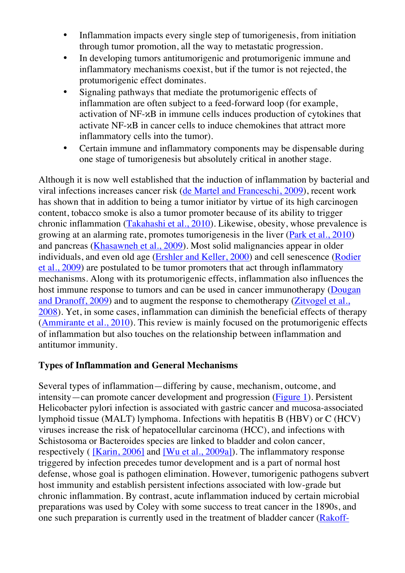- Inflammation impacts every single step of tumorigenesis, from initiation through tumor promotion, all the way to metastatic progression.
- In developing tumors antitumorigenic and protumorigenic immune and inflammatory mechanisms coexist, but if the tumor is not rejected, the protumorigenic effect dominates.
- Signaling pathways that mediate the protumorigenic effects of inflammation are often subject to a feed-forward loop (for example, activation of NF-κB in immune cells induces production of cytokines that activate NF-κB in cancer cells to induce chemokines that attract more inflammatory cells into the tumor).
- Certain immune and inflammatory components may be dispensable during one stage of tumorigenesis but absolutely critical in another stage.

Although it is now well established that the induction of inflammation by bacterial and viral infections increases cancer risk (de Martel and Franceschi, 2009), recent work has shown that in addition to being a tumor initiator by virtue of its high carcinogen content, tobacco smoke is also a tumor promoter because of its ability to trigger chronic inflammation (Takahashi et al., 2010). Likewise, obesity, whose prevalence is growing at an alarming rate, promotes tumorigenesis in the liver (Park et al., 2010) and pancreas (Khasawneh et al., 2009). Most solid malignancies appear in older individuals, and even old age (Ershler and Keller, 2000) and cell senescence (Rodier et al., 2009) are postulated to be tumor promoters that act through inflammatory mechanisms. Along with its protumorigenic effects, inflammation also influences the host immune response to tumors and can be used in cancer immunotherapy (Dougan and Dranoff, 2009) and to augment the response to chemotherapy (Zitvogel et al., 2008). Yet, in some cases, inflammation can diminish the beneficial effects of therapy (Ammirante et al., 2010). This review is mainly focused on the protumorigenic effects of inflammation but also touches on the relationship between inflammation and antitumor immunity.

## **Types of Inflammation and General Mechanisms**

Several types of inflammation—differing by cause, mechanism, outcome, and intensity—can promote cancer development and progression (Figure 1). Persistent Helicobacter pylori infection is associated with gastric cancer and mucosa-associated lymphoid tissue (MALT) lymphoma. Infections with hepatitis B (HBV) or C (HCV) viruses increase the risk of hepatocellular carcinoma (HCC), and infections with Schistosoma or Bacteroides species are linked to bladder and colon cancer, respectively ( [Karin, 2006] and [Wu et al., 2009a]). The inflammatory response triggered by infection precedes tumor development and is a part of normal host defense, whose goal is pathogen elimination. However, tumorigenic pathogens subvert host immunity and establish persistent infections associated with low-grade but chronic inflammation. By contrast, acute inflammation induced by certain microbial preparations was used by Coley with some success to treat cancer in the 1890s, and one such preparation is currently used in the treatment of bladder cancer (Rakoff-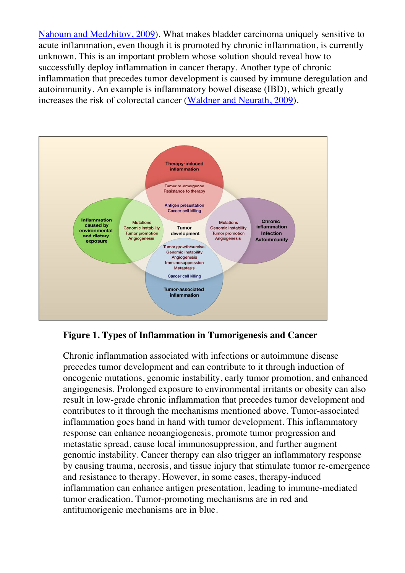Nahoum and Medzhitov, 2009). What makes bladder carcinoma uniquely sensitive to acute inflammation, even though it is promoted by chronic inflammation, is currently unknown. This is an important problem whose solution should reveal how to successfully deploy inflammation in cancer therapy. Another type of chronic inflammation that precedes tumor development is caused by immune deregulation and autoimmunity. An example is inflammatory bowel disease (IBD), which greatly increases the risk of colorectal cancer (Waldner and Neurath, 2009).



**Figure 1. Types of Inflammation in Tumorigenesis and Cancer**

Chronic inflammation associated with infections or autoimmune disease precedes tumor development and can contribute to it through induction of oncogenic mutations, genomic instability, early tumor promotion, and enhanced angiogenesis. Prolonged exposure to environmental irritants or obesity can also result in low-grade chronic inflammation that precedes tumor development and contributes to it through the mechanisms mentioned above. Tumor-associated inflammation goes hand in hand with tumor development. This inflammatory response can enhance neoangiogenesis, promote tumor progression and metastatic spread, cause local immunosuppression, and further augment genomic instability. Cancer therapy can also trigger an inflammatory response by causing trauma, necrosis, and tissue injury that stimulate tumor re-emergence and resistance to therapy. However, in some cases, therapy-induced inflammation can enhance antigen presentation, leading to immune-mediated tumor eradication. Tumor-promoting mechanisms are in red and antitumorigenic mechanisms are in blue.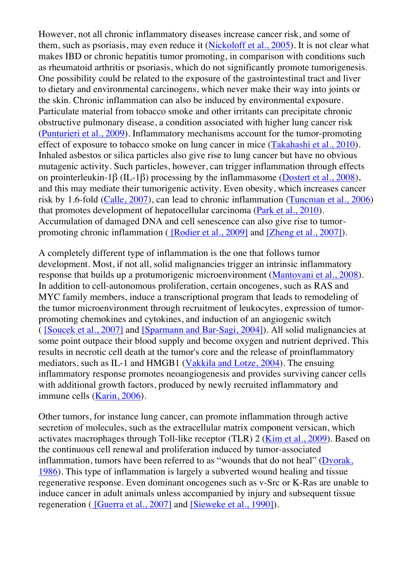However, not all chronic inflammatory diseases increase cancer risk, and some of them, such as psoriasis, may even reduce it (Nickoloff et al., 2005). It is not clear what makes IBD or chronic hepatitis tumor promoting, in comparison with conditions such as rheumatoid arthritis or psoriasis, which do not significantly promote tumorigenesis. One possibility could be related to the exposure of the gastrointestinal tract and liver to dietary and environmental carcinogens, which never make their way into joints or the skin. Chronic inflammation can also be induced by environmental exposure. Particulate material from tobacco smoke and other irritants can precipitate chronic obstructive pulmonary disease, a condition associated with higher lung cancer risk (Punturieri et al., 2009). Inflammatory mechanisms account for the tumor-promoting effect of exposure to tobacco smoke on lung cancer in mice (Takahashi et al., 2010). Inhaled asbestos or silica particles also give rise to lung cancer but have no obvious mutagenic activity. Such particles, however, can trigger inflammation through effects on prointerleukin-1β (IL-1β) processing by the inflammasome (Dostert et al., 2008), and this may mediate their tumorigenic activity. Even obesity, which increases cancer risk by 1.6-fold (Calle, 2007), can lead to chronic inflammation (Tuncman et al., 2006) that promotes development of hepatocellular carcinoma (Park et al., 2010). Accumulation of damaged DNA and cell senescence can also give rise to tumorpromoting chronic inflammation ( [Rodier et al., 2009] and [Zheng et al., 2007]).

A completely different type of inflammation is the one that follows tumor development. Most, if not all, solid malignancies trigger an intrinsic inflammatory response that builds up a protumorigenic microenvironment (Mantovani et al., 2008). In addition to cell-autonomous proliferation, certain oncogenes, such as RAS and MYC family members, induce a transcriptional program that leads to remodeling of the tumor microenvironment through recruitment of leukocytes, expression of tumorpromoting chemokines and cytokines, and induction of an angiogenic switch ( [Soucek et al., 2007] and [Sparmann and Bar-Sagi, 2004]). All solid malignancies at some point outpace their blood supply and become oxygen and nutrient deprived. This results in necrotic cell death at the tumor's core and the release of proinflammatory mediators, such as IL-1 and HMGB1 (Vakkila and Lotze, 2004). The ensuing inflammatory response promotes neoangiogenesis and provides surviving cancer cells with additional growth factors, produced by newly recruited inflammatory and immune cells (Karin, 2006).

Other tumors, for instance lung cancer, can promote inflammation through active secretion of molecules, such as the extracellular matrix component versican, which activates macrophages through Toll-like receptor (TLR) 2 (Kim et al., 2009). Based on the continuous cell renewal and proliferation induced by tumor-associated inflammation, tumors have been referred to as "wounds that do not heal" (Dvorak, 1986). This type of inflammation is largely a subverted wound healing and tissue regenerative response. Even dominant oncogenes such as v-Src or K-Ras are unable to induce cancer in adult animals unless accompanied by injury and subsequent tissue regeneration ( [Guerra et al., 2007] and [Sieweke et al., 1990]).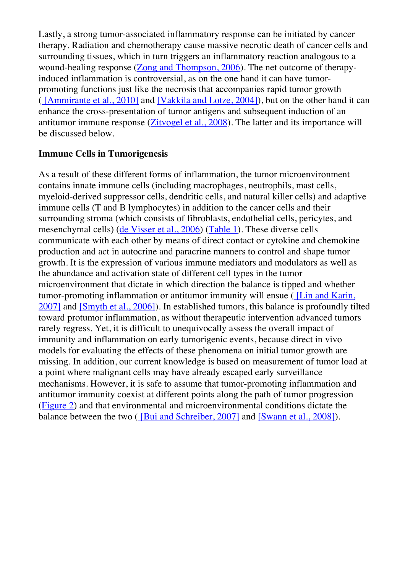Lastly, a strong tumor-associated inflammatory response can be initiated by cancer therapy. Radiation and chemotherapy cause massive necrotic death of cancer cells and surrounding tissues, which in turn triggers an inflammatory reaction analogous to a wound-healing response (Zong and Thompson, 2006). The net outcome of therapyinduced inflammation is controversial, as on the one hand it can have tumorpromoting functions just like the necrosis that accompanies rapid tumor growth ( [Ammirante et al., 2010] and [Vakkila and Lotze, 2004]), but on the other hand it can enhance the cross-presentation of tumor antigens and subsequent induction of an antitumor immune response (Zitvogel et al., 2008). The latter and its importance will be discussed below.

#### **Immune Cells in Tumorigenesis**

As a result of these different forms of inflammation, the tumor microenvironment contains innate immune cells (including macrophages, neutrophils, mast cells, myeloid-derived suppressor cells, dendritic cells, and natural killer cells) and adaptive immune cells (T and B lymphocytes) in addition to the cancer cells and their surrounding stroma (which consists of fibroblasts, endothelial cells, pericytes, and mesenchymal cells) (de Visser et al., 2006) (Table 1). These diverse cells communicate with each other by means of direct contact or cytokine and chemokine production and act in autocrine and paracrine manners to control and shape tumor growth. It is the expression of various immune mediators and modulators as well as the abundance and activation state of different cell types in the tumor microenvironment that dictate in which direction the balance is tipped and whether tumor-promoting inflammation or antitumor immunity will ensue ( [Lin and Karin, 2007] and [Smyth et al., 2006]). In established tumors, this balance is profoundly tilted toward protumor inflammation, as without therapeutic intervention advanced tumors rarely regress. Yet, it is difficult to unequivocally assess the overall impact of immunity and inflammation on early tumorigenic events, because direct in vivo models for evaluating the effects of these phenomena on initial tumor growth are missing. In addition, our current knowledge is based on measurement of tumor load at a point where malignant cells may have already escaped early surveillance mechanisms. However, it is safe to assume that tumor-promoting inflammation and antitumor immunity coexist at different points along the path of tumor progression (Figure 2) and that environmental and microenvironmental conditions dictate the balance between the two ( [Bui and Schreiber, 2007] and [Swann et al., 2008]).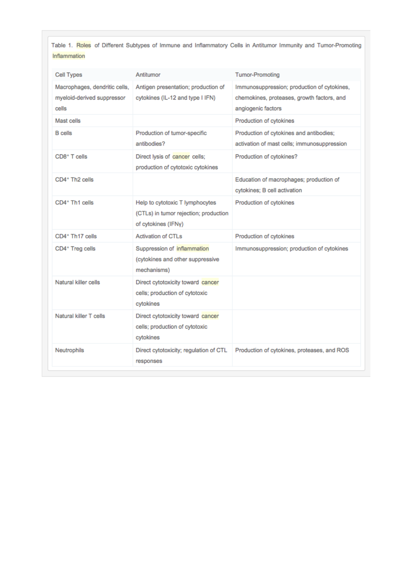Table 1. Roles of Different Subtypes of Immune and Inflammatory Cells in Antitumor Immunity and Tumor-Promoting Inflammation

| Cell Types                                                           | Antitumor                                                                                       | <b>Tumor-Promoting</b>                                                                                          |
|----------------------------------------------------------------------|-------------------------------------------------------------------------------------------------|-----------------------------------------------------------------------------------------------------------------|
| Macrophages, dendritic cells,<br>myeloid-derived suppressor<br>cells | Antigen presentation; production of<br>cytokines (IL-12 and type I IFN)                         | Immunosuppression; production of cytokines,<br>chemokines, proteases, growth factors, and<br>angiogenic factors |
| Mast cells                                                           |                                                                                                 | Production of cytokines                                                                                         |
| <b>B</b> cells                                                       | Production of tumor-specific<br>antibodies?                                                     | Production of cytokines and antibodies;<br>activation of mast cells; immunosuppression                          |
| CD8 <sup>+</sup> T cells                                             | Direct lysis of cancer cells;<br>production of cytotoxic cytokines                              | Production of cytokines?                                                                                        |
| CD4 <sup>+</sup> Th <sub>2</sub> cells                               |                                                                                                 | Education of macrophages; production of<br>cytokines; B cell activation                                         |
| CD4 <sup>+</sup> Th1 cells                                           | Help to cytotoxic T lymphocytes<br>(CTLs) in tumor rejection; production<br>of cytokines (IFNy) | Production of cytokines                                                                                         |
| CD4 <sup>+</sup> Th17 cells                                          | <b>Activation of CTLs</b>                                                                       | Production of cytokines                                                                                         |
| CD4 <sup>+</sup> Treg cells                                          | Suppression of inflammation<br>(cytokines and other suppressive<br>mechanisms)                  | Immunosuppression; production of cytokines                                                                      |
| Natural killer cells                                                 | Direct cytotoxicity toward cancer<br>cells; production of cytotoxic<br>cytokines                |                                                                                                                 |
| Natural killer T cells                                               | Direct cytotoxicity toward cancer<br>cells; production of cytotoxic<br>cytokines                |                                                                                                                 |
| Neutrophils                                                          | Direct cytotoxicity; regulation of CTL<br>responses                                             | Production of cytokines, proteases, and ROS                                                                     |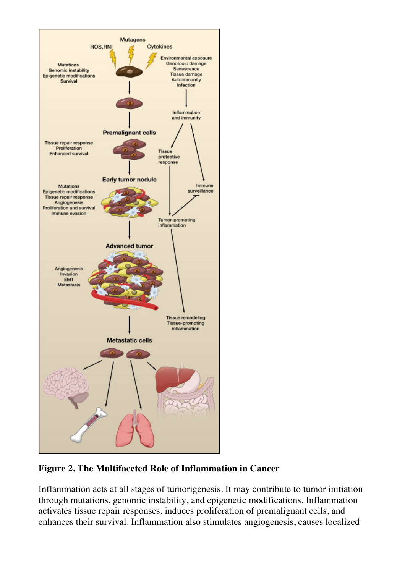

**Figure 2. The Multifaceted Role of Inflammation in Cancer**

Inflammation acts at all stages of tumorigenesis. It may contribute to tumor initiation through mutations, genomic instability, and epigenetic modifications. Inflammation activates tissue repair responses, induces proliferation of premalignant cells, and enhances their survival. Inflammation also stimulates angiogenesis, causes localized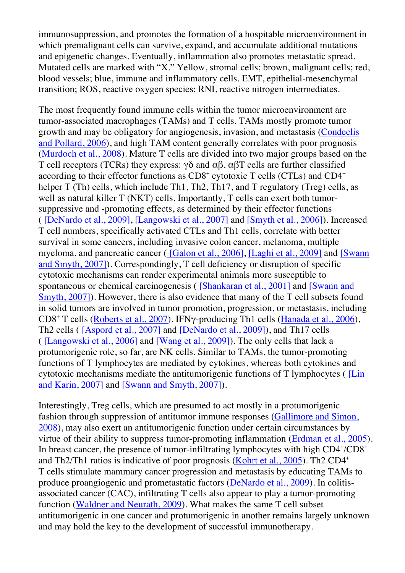immunosuppression, and promotes the formation of a hospitable microenvironment in which premalignant cells can survive, expand, and accumulate additional mutations and epigenetic changes. Eventually, inflammation also promotes metastatic spread. Mutated cells are marked with "X." Yellow, stromal cells; brown, malignant cells; red, blood vessels; blue, immune and inflammatory cells. EMT, epithelial-mesenchymal transition; ROS, reactive oxygen species; RNI, reactive nitrogen intermediates.

The most frequently found immune cells within the tumor microenvironment are tumor-associated macrophages (TAMs) and T cells. TAMs mostly promote tumor growth and may be obligatory for angiogenesis, invasion, and metastasis (Condeelis and Pollard, 2006), and high TAM content generally correlates with poor prognosis (Murdoch et al., 2008). Mature T cells are divided into two major groups based on the T cell receptors (TCRs) they express:  $\gamma\delta$  and  $\alpha\beta$ .  $\alpha\beta T$  cells are further classified according to their effector functions as  $CD8<sup>+</sup>$  cytotoxic T cells (CTLs) and  $CD4<sup>+</sup>$ helper T (Th) cells, which include Th1, Th2, Th17, and T regulatory (Treg) cells, as well as natural killer T (NKT) cells. Importantly, T cells can exert both tumorsuppressive and -promoting effects, as determined by their effector functions ( [DeNardo et al., 2009], [Langowski et al., 2007] and [Smyth et al., 2006]). Increased T cell numbers, specifically activated CTLs and Th1 cells, correlate with better survival in some cancers, including invasive colon cancer, melanoma, multiple myeloma, and pancreatic cancer ( [Galon et al., 2006], [Laghi et al., 2009] and [Swann and Smyth, 2007]). Correspondingly, T cell deficiency or disruption of specific cytotoxic mechanisms can render experimental animals more susceptible to spontaneous or chemical carcinogenesis ( [Shankaran et al., 2001] and [Swann and Smyth, 2007]). However, there is also evidence that many of the T cell subsets found in solid tumors are involved in tumor promotion, progression, or metastasis, including CD8+ T cells (Roberts et al., 2007), IFNγ-producing Th1 cells (Hanada et al., 2006), Th2 cells ( [Aspord et al., 2007] and [DeNardo et al., 2009]), and Th17 cells ( [Langowski et al., 2006] and [Wang et al., 2009]). The only cells that lack a protumorigenic role, so far, are NK cells. Similar to TAMs, the tumor-promoting functions of T lymphocytes are mediated by cytokines, whereas both cytokines and cytotoxic mechanisms mediate the antitumorigenic functions of T lymphocytes ( [Lin and Karin, 2007] and [Swann and Smyth, 2007]).

Interestingly, Treg cells, which are presumed to act mostly in a protumorigenic fashion through suppression of antitumor immune responses (Gallimore and Simon, 2008), may also exert an antitumorigenic function under certain circumstances by virtue of their ability to suppress tumor-promoting inflammation (Erdman et al., 2005). In breast cancer, the presence of tumor-infiltrating lymphocytes with high CD4+/CD8+ and Th2/Th1 ratios is indicative of poor prognosis (Kohrt et al., 2005). Th2 CD4+ T cells stimulate mammary cancer progression and metastasis by educating TAMs to produce proangiogenic and prometastatic factors (DeNardo et al., 2009). In colitisassociated cancer (CAC), infiltrating T cells also appear to play a tumor-promoting function (Waldner and Neurath, 2009). What makes the same T cell subset antitumorigenic in one cancer and protumorigenic in another remains largely unknown and may hold the key to the development of successful immunotherapy.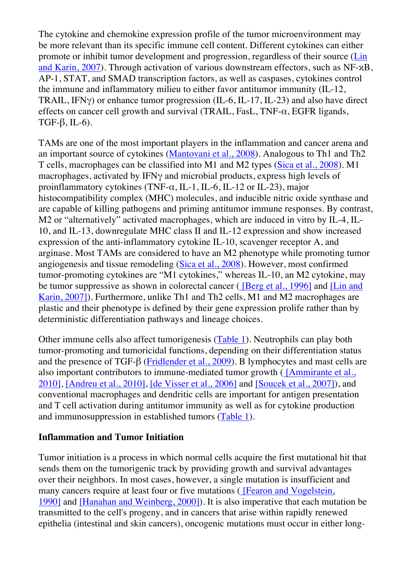The cytokine and chemokine expression profile of the tumor microenvironment may be more relevant than its specific immune cell content. Different cytokines can either promote or inhibit tumor development and progression, regardless of their source (Lin and Karin, 2007). Through activation of various downstream effectors, such as NF-κB, AP-1, STAT, and SMAD transcription factors, as well as caspases, cytokines control the immune and inflammatory milieu to either favor antitumor immunity (IL-12, TRAIL, IFNγ) or enhance tumor progression (IL-6, IL-17, IL-23) and also have direct effects on cancer cell growth and survival (TRAIL, FasL, TNF- $\alpha$ , EGFR ligands, TGF- $\beta$ , IL-6).

TAMs are one of the most important players in the inflammation and cancer arena and an important source of cytokines (Mantovani et al., 2008). Analogous to Th1 and Th2 T cells, macrophages can be classified into M1 and M2 types (Sica et al., 2008). M1 macrophages, activated by IFNγ and microbial products, express high levels of proinflammatory cytokines (TNF- $\alpha$ , IL-1, IL-6, IL-12 or IL-23), major histocompatibility complex (MHC) molecules, and inducible nitric oxide synthase and are capable of killing pathogens and priming antitumor immune responses. By contrast, M2 or "alternatively" activated macrophages, which are induced in vitro by IL-4, IL-10, and IL-13, downregulate MHC class II and IL-12 expression and show increased expression of the anti-inflammatory cytokine IL-10, scavenger receptor A, and arginase. Most TAMs are considered to have an M2 phenotype while promoting tumor angiogenesis and tissue remodeling (Sica et al., 2008). However, most confirmed tumor-promoting cytokines are "M1 cytokines," whereas IL-10, an M2 cytokine, may be tumor suppressive as shown in colorectal cancer ( [Berg et al., 1996] and [Lin and Karin, 2007]). Furthermore, unlike Th1 and Th2 cells, M1 and M2 macrophages are plastic and their phenotype is defined by their gene expression prolife rather than by deterministic differentiation pathways and lineage choices.

Other immune cells also affect tumorigenesis (Table 1). Neutrophils can play both tumor-promoting and tumoricidal functions, depending on their differentiation status and the presence of TGF-β (Fridlender et al., 2009). B lymphocytes and mast cells are also important contributors to immune-mediated tumor growth  $($   $[Ammirante et al.,]$ 2010], [Andreu et al., 2010], [de Visser et al., 2006] and [Soucek et al., 2007]), and conventional macrophages and dendritic cells are important for antigen presentation and T cell activation during antitumor immunity as well as for cytokine production and immunosuppression in established tumors (Table 1).

#### **Inflammation and Tumor Initiation**

Tumor initiation is a process in which normal cells acquire the first mutational hit that sends them on the tumorigenic track by providing growth and survival advantages over their neighbors. In most cases, however, a single mutation is insufficient and many cancers require at least four or five mutations (IFearon and Vogelstein, 1990] and [Hanahan and Weinberg, 2000]). It is also imperative that each mutation be transmitted to the cell's progeny, and in cancers that arise within rapidly renewed epithelia (intestinal and skin cancers), oncogenic mutations must occur in either long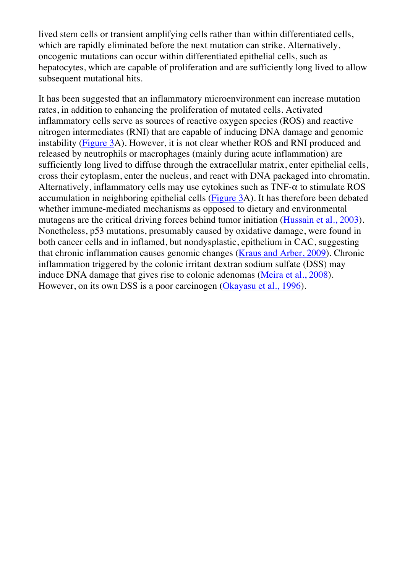lived stem cells or transient amplifying cells rather than within differentiated cells, which are rapidly eliminated before the next mutation can strike. Alternatively, oncogenic mutations can occur within differentiated epithelial cells, such as hepatocytes, which are capable of proliferation and are sufficiently long lived to allow subsequent mutational hits.

It has been suggested that an inflammatory microenvironment can increase mutation rates, in addition to enhancing the proliferation of mutated cells. Activated inflammatory cells serve as sources of reactive oxygen species (ROS) and reactive nitrogen intermediates (RNI) that are capable of inducing DNA damage and genomic instability (Figure 3A). However, it is not clear whether ROS and RNI produced and released by neutrophils or macrophages (mainly during acute inflammation) are sufficiently long lived to diffuse through the extracellular matrix, enter epithelial cells, cross their cytoplasm, enter the nucleus, and react with DNA packaged into chromatin. Alternatively, inflammatory cells may use cytokines such as  $TNF-\alpha$  to stimulate ROS accumulation in neighboring epithelial cells (Figure 3A). It has therefore been debated whether immune-mediated mechanisms as opposed to dietary and environmental mutagens are the critical driving forces behind tumor initiation (Hussain et al., 2003). Nonetheless, p53 mutations, presumably caused by oxidative damage, were found in both cancer cells and in inflamed, but nondysplastic, epithelium in CAC, suggesting that chronic inflammation causes genomic changes (Kraus and Arber, 2009). Chronic inflammation triggered by the colonic irritant dextran sodium sulfate (DSS) may induce DNA damage that gives rise to colonic adenomas (Meira et al., 2008). However, on its own DSS is a poor carcinogen (Okayasu et al., 1996).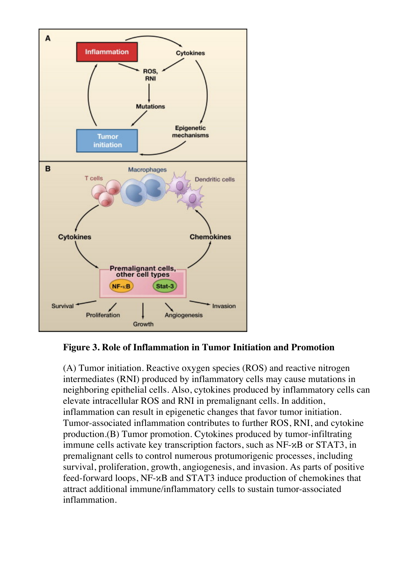

**Figure 3. Role of Inflammation in Tumor Initiation and Promotion**

(A) Tumor initiation. Reactive oxygen species (ROS) and reactive nitrogen intermediates (RNI) produced by inflammatory cells may cause mutations in neighboring epithelial cells. Also, cytokines produced by inflammatory cells can elevate intracellular ROS and RNI in premalignant cells. In addition, inflammation can result in epigenetic changes that favor tumor initiation. Tumor-associated inflammation contributes to further ROS, RNI, and cytokine production.(B) Tumor promotion. Cytokines produced by tumor-infiltrating immune cells activate key transcription factors, such as NF-κB or STAT3, in premalignant cells to control numerous protumorigenic processes, including survival, proliferation, growth, angiogenesis, and invasion. As parts of positive feed-forward loops, NF-κB and STAT3 induce production of chemokines that attract additional immune/inflammatory cells to sustain tumor-associated inflammation.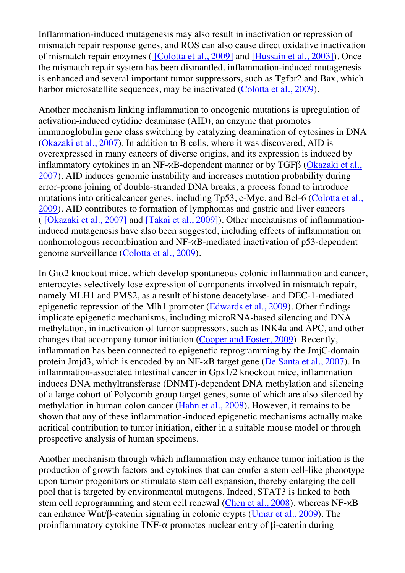Inflammation-induced mutagenesis may also result in inactivation or repression of mismatch repair response genes, and ROS can also cause direct oxidative inactivation of mismatch repair enzymes ( [Colotta et al., 2009] and [Hussain et al., 2003]). Once the mismatch repair system has been dismantled, inflammation-induced mutagenesis is enhanced and several important tumor suppressors, such as Tgfbr2 and Bax, which harbor microsatellite sequences, may be inactivated (Colotta et al., 2009).

Another mechanism linking inflammation to oncogenic mutations is upregulation of activation-induced cytidine deaminase (AID), an enzyme that promotes immunoglobulin gene class switching by catalyzing deamination of cytosines in DNA (Okazaki et al., 2007). In addition to B cells, where it was discovered, AID is overexpressed in many cancers of diverse origins, and its expression is induced by inflammatory cytokines in an NF-κB-dependent manner or by TGFβ (Okazaki et al., 2007). AID induces genomic instability and increases mutation probability during error-prone joining of double-stranded DNA breaks, a process found to introduce mutations into criticalcancer genes, including Tp53, c-Myc, and Bcl-6 (Colotta et al., 2009). AID contributes to formation of lymphomas and gastric and liver cancers ( [Okazaki et al., 2007] and [Takai et al., 2009]). Other mechanisms of inflammationinduced mutagenesis have also been suggested, including effects of inflammation on nonhomologous recombination and NF-κB-mediated inactivation of p53-dependent genome surveillance (Colotta et al., 2009).

In Giα2 knockout mice, which develop spontaneous colonic inflammation and cancer, enterocytes selectively lose expression of components involved in mismatch repair, namely MLH1 and PMS2, as a result of histone deacetylase- and DEC-1-mediated epigenetic repression of the Mlh1 promoter (Edwards et al., 2009). Other findings implicate epigenetic mechanisms, including microRNA-based silencing and DNA methylation, in inactivation of tumor suppressors, such as INK4a and APC, and other changes that accompany tumor initiation (Cooper and Foster, 2009). Recently, inflammation has been connected to epigenetic reprogramming by the JmjC-domain protein Jmjd3, which is encoded by an NF-κB target gene (De Santa et al., 2007). In inflammation-associated intestinal cancer in Gpx1/2 knockout mice, inflammation induces DNA methyltransferase (DNMT)-dependent DNA methylation and silencing of a large cohort of Polycomb group target genes, some of which are also silenced by methylation in human colon cancer (Hahn et al., 2008). However, it remains to be shown that any of these inflammation-induced epigenetic mechanisms actually make acritical contribution to tumor initiation, either in a suitable mouse model or through prospective analysis of human specimens.

Another mechanism through which inflammation may enhance tumor initiation is the production of growth factors and cytokines that can confer a stem cell-like phenotype upon tumor progenitors or stimulate stem cell expansion, thereby enlarging the cell pool that is targeted by environmental mutagens. Indeed, STAT3 is linked to both stem cell reprogramming and stem cell renewal (Chen et al., 2008), whereas NF-κB can enhance Wnt/β-catenin signaling in colonic crypts (Umar et al., 2009). The proinflammatory cytokine TNF-α promotes nuclear entry of β-catenin during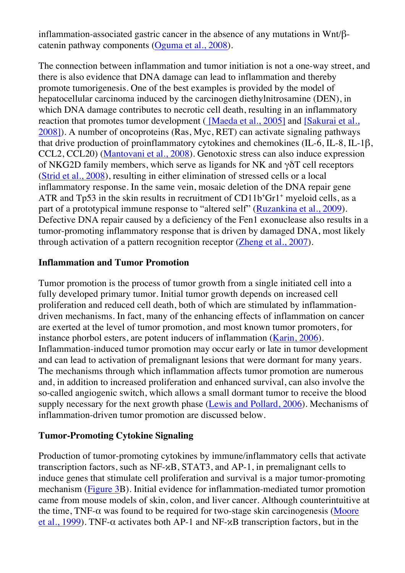inflammation-associated gastric cancer in the absence of any mutations in Wnt/βcatenin pathway components (Oguma et al., 2008).

The connection between inflammation and tumor initiation is not a one-way street, and there is also evidence that DNA damage can lead to inflammation and thereby promote tumorigenesis. One of the best examples is provided by the model of hepatocellular carcinoma induced by the carcinogen diethylnitrosamine (DEN), in which DNA damage contributes to necrotic cell death, resulting in an inflammatory reaction that promotes tumor development ( [Maeda et al., 2005] and [Sakurai et al., 2008]). A number of oncoproteins (Ras, Myc, RET) can activate signaling pathways that drive production of proinflammatory cytokines and chemokines (IL-6, IL-8, IL-1β, CCL2, CCL20) (Mantovani et al., 2008). Genotoxic stress can also induce expression of NKG2D family members, which serve as ligands for NK and  $\gamma \delta T$  cell receptors (Strid et al., 2008), resulting in either elimination of stressed cells or a local inflammatory response. In the same vein, mosaic deletion of the DNA repair gene ATR and Tp53 in the skin results in recruitment of  $CD11b<sup>+</sup>Gr1<sup>+</sup>$  myeloid cells, as a part of a prototypical immune response to "altered self" (Ruzankina et al., 2009). Defective DNA repair caused by a deficiency of the Fen1 exonuclease also results in a tumor-promoting inflammatory response that is driven by damaged DNA, most likely through activation of a pattern recognition receptor (Zheng et al., 2007).

## **Inflammation and Tumor Promotion**

Tumor promotion is the process of tumor growth from a single initiated cell into a fully developed primary tumor. Initial tumor growth depends on increased cell proliferation and reduced cell death, both of which are stimulated by inflammationdriven mechanisms. In fact, many of the enhancing effects of inflammation on cancer are exerted at the level of tumor promotion, and most known tumor promoters, for instance phorbol esters, are potent inducers of inflammation (Karin, 2006). Inflammation-induced tumor promotion may occur early or late in tumor development and can lead to activation of premalignant lesions that were dormant for many years. The mechanisms through which inflammation affects tumor promotion are numerous and, in addition to increased proliferation and enhanced survival, can also involve the so-called angiogenic switch, which allows a small dormant tumor to receive the blood supply necessary for the next growth phase (Lewis and Pollard, 2006). Mechanisms of inflammation-driven tumor promotion are discussed below.

#### **Tumor-Promoting Cytokine Signaling**

Production of tumor-promoting cytokines by immune/inflammatory cells that activate transcription factors, such as NF-κB, STAT3, and AP-1, in premalignant cells to induce genes that stimulate cell proliferation and survival is a major tumor-promoting mechanism (Figure 3B). Initial evidence for inflammation-mediated tumor promotion came from mouse models of skin, colon, and liver cancer. Although counterintuitive at the time, TNF- $\alpha$  was found to be required for two-stage skin carcinogenesis (Moore et al., 1999). TNF- $\alpha$  activates both AP-1 and NF- $\alpha$ B transcription factors, but in the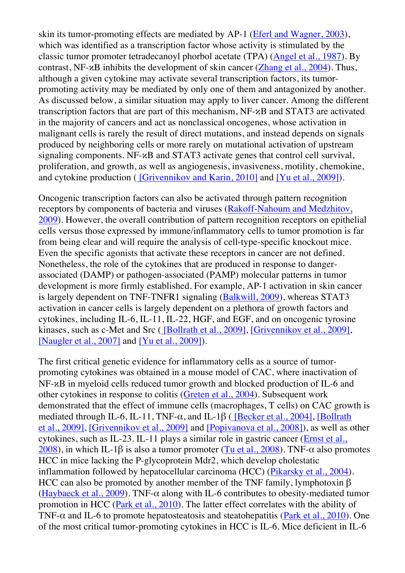skin its tumor-promoting effects are mediated by AP-1 (Eferl and Wagner, 2003), which was identified as a transcription factor whose activity is stimulated by the classic tumor promoter tetradecanoyl phorbol acetate (TPA) (Angel et al., 1987). By contrast, NF-κB inhibits the development of skin cancer (Zhang et al., 2004). Thus, although a given cytokine may activate several transcription factors, its tumorpromoting activity may be mediated by only one of them and antagonized by another. As discussed below, a similar situation may apply to liver cancer. Among the different transcription factors that are part of this mechanism, NF-κB and STAT3 are activated in the majority of cancers and act as nonclassical oncogenes, whose activation in malignant cells is rarely the result of direct mutations, and instead depends on signals produced by neighboring cells or more rarely on mutational activation of upstream signaling components. NF-κB and STAT3 activate genes that control cell survival, proliferation, and growth, as well as angiogenesis, invasiveness, motility, chemokine, and cytokine production ( [Grivennikov and Karin, 2010] and [Yu et al., 2009]).

Oncogenic transcription factors can also be activated through pattern recognition receptors by components of bacteria and viruses (Rakoff-Nahoum and Medzhitov, 2009). However, the overall contribution of pattern recognition receptors on epithelial cells versus those expressed by immune/inflammatory cells to tumor promotion is far from being clear and will require the analysis of cell-type-specific knockout mice. Even the specific agonists that activate these receptors in cancer are not defined. Nonetheless, the role of the cytokines that are produced in response to dangerassociated (DAMP) or pathogen-associated (PAMP) molecular patterns in tumor development is more firmly established. For example, AP-1 activation in skin cancer is largely dependent on TNF-TNFR1 signaling (Balkwill, 2009), whereas STAT3 activation in cancer cells is largely dependent on a plethora of growth factors and cytokines, including IL-6, IL-11, IL-22, HGF, and EGF, and on oncogenic tyrosine kinases, such as c-Met and Src ( [Bollrath et al., 2009], [Grivennikov et al., 2009], [Naugler et al., 2007] and [Yu et al., 2009]).

The first critical genetic evidence for inflammatory cells as a source of tumorpromoting cytokines was obtained in a mouse model of CAC, where inactivation of NF-κB in myeloid cells reduced tumor growth and blocked production of IL-6 and other cytokines in response to colitis (Greten et al., 2004). Subsequent work demonstrated that the effect of immune cells (macrophages, T cells) on CAC growth is mediated through IL-6, IL-11, TNF- $\alpha$ , and IL-1 $\beta$  ( [Becker et al., 2004], [Bollrath et al., 2009], [Grivennikov et al., 2009] and [Popivanova et al., 2008]), as well as other cytokines, such as IL-23. IL-11 plays a similar role in gastric cancer (Ernst et al., 2008), in which IL-1β is also a tumor promoter (Tu et al., 2008). TNF- $\alpha$  also promotes HCC in mice lacking the P-glycoprotein Mdr2, which develop cholestatic inflammation followed by hepatocellular carcinoma (HCC) (Pikarsky et al., 2004). HCC can also be promoted by another member of the TNF family, lymphotoxin β (Haybaeck et al., 2009). TNF- $\alpha$  along with IL-6 contributes to obesity-mediated tumor promotion in HCC (Park et al., 2010). The latter effect correlates with the ability of TNF- $\alpha$  and IL-6 to promote hepatosteatosis and steatohepatitis (Park et al., 2010). One of the most critical tumor-promoting cytokines in HCC is IL-6. Mice deficient in IL-6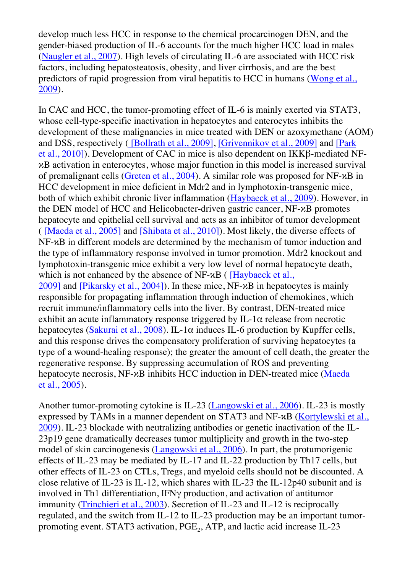develop much less HCC in response to the chemical procarcinogen DEN, and the gender-biased production of IL-6 accounts for the much higher HCC load in males (Naugler et al., 2007). High levels of circulating IL-6 are associated with HCC risk factors, including hepatosteatosis, obesity, and liver cirrhosis, and are the best predictors of rapid progression from viral hepatitis to HCC in humans (Wong et al., 2009).

In CAC and HCC, the tumor-promoting effect of IL-6 is mainly exerted via STAT3, whose cell-type-specific inactivation in hepatocytes and enterocytes inhibits the development of these malignancies in mice treated with DEN or azoxymethane (AOM) and DSS, respectively ( [Bollrath et al., 2009], [Grivennikov et al., 2009] and [Park et al., 2010]). Development of CAC in mice is also dependent on IKKβ-mediated NFκB activation in enterocytes, whose major function in this model is increased survival of premalignant cells (Greten et al., 2004). A similar role was proposed for NF-κB in HCC development in mice deficient in Mdr2 and in lymphotoxin-transgenic mice, both of which exhibit chronic liver inflammation (Haybaeck et al., 2009). However, in the DEN model of HCC and Helicobacter-driven gastric cancer, NF-κB promotes hepatocyte and epithelial cell survival and acts as an inhibitor of tumor development ( [Maeda et al., 2005] and [Shibata et al., 2010]). Most likely, the diverse effects of NF-κB in different models are determined by the mechanism of tumor induction and the type of inflammatory response involved in tumor promotion. Mdr2 knockout and lymphotoxin-transgenic mice exhibit a very low level of normal hepatocyte death, which is not enhanced by the absence of NF-*κ*B ( [Haybaeck et al., 2009] and [Pikarsky et al., 2004]). In these mice, NF-κB in hepatocytes is mainly responsible for propagating inflammation through induction of chemokines, which recruit immune/inflammatory cells into the liver. By contrast, DEN-treated mice exhibit an acute inflammatory response triggered by IL-1 $\alpha$  release from necrotic hepatocytes (Sakurai et al., 2008). IL-1 $\alpha$  induces IL-6 production by Kupffer cells, and this response drives the compensatory proliferation of surviving hepatocytes (a type of a wound-healing response); the greater the amount of cell death, the greater the regenerative response. By suppressing accumulation of ROS and preventing hepatocyte necrosis, NF-κB inhibits HCC induction in DEN-treated mice (Maeda et al., 2005).

Another tumor-promoting cytokine is IL-23 (Langowski et al., 2006). IL-23 is mostly expressed by TAMs in a manner dependent on STAT3 and NF-κB (Kortylewski et al., 2009). IL-23 blockade with neutralizing antibodies or genetic inactivation of the IL-23p19 gene dramatically decreases tumor multiplicity and growth in the two-step model of skin carcinogenesis (Langowski et al., 2006). In part, the protumorigenic effects of IL-23 may be mediated by IL-17 and IL-22 production by Th17 cells, but other effects of IL-23 on CTLs, Tregs, and myeloid cells should not be discounted. A close relative of IL-23 is IL-12, which shares with IL-23 the IL-12p40 subunit and is involved in Th1 differentiation, IFNγ production, and activation of antitumor immunity (Trinchieri et al., 2003). Secretion of IL-23 and IL-12 is reciprocally regulated, and the switch from IL-12 to IL-23 production may be an important tumorpromoting event. STAT3 activation,  $PGE<sub>2</sub>$ , ATP, and lactic acid increase IL-23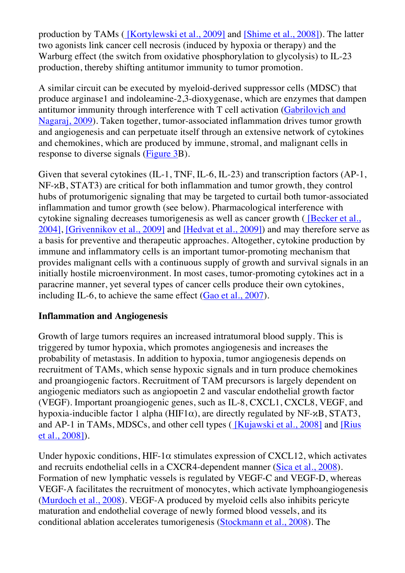production by TAMs ( [Kortylewski et al., 2009] and [Shime et al., 2008]). The latter two agonists link cancer cell necrosis (induced by hypoxia or therapy) and the Warburg effect (the switch from oxidative phosphorylation to glycolysis) to IL-23 production, thereby shifting antitumor immunity to tumor promotion.

A similar circuit can be executed by myeloid-derived suppressor cells (MDSC) that produce arginase1 and indoleamine-2,3-dioxygenase, which are enzymes that dampen antitumor immunity through interference with T cell activation (Gabrilovich and Nagaraj, 2009). Taken together, tumor-associated inflammation drives tumor growth and angiogenesis and can perpetuate itself through an extensive network of cytokines and chemokines, which are produced by immune, stromal, and malignant cells in response to diverse signals (Figure 3B).

Given that several cytokines (IL-1, TNF, IL-6, IL-23) and transcription factors (AP-1, NF-κB, STAT3) are critical for both inflammation and tumor growth, they control hubs of protumorigenic signaling that may be targeted to curtail both tumor-associated inflammation and tumor growth (see below). Pharmacological interference with cytokine signaling decreases tumorigenesis as well as cancer growth ( [Becker et al., 2004], [Grivennikov et al., 2009] and [Hedvat et al., 2009]) and may therefore serve as a basis for preventive and therapeutic approaches. Altogether, cytokine production by immune and inflammatory cells is an important tumor-promoting mechanism that provides malignant cells with a continuous supply of growth and survival signals in an initially hostile microenvironment. In most cases, tumor-promoting cytokines act in a paracrine manner, yet several types of cancer cells produce their own cytokines, including IL-6, to achieve the same effect (Gao et al., 2007).

## **Inflammation and Angiogenesis**

Growth of large tumors requires an increased intratumoral blood supply. This is triggered by tumor hypoxia, which promotes angiogenesis and increases the probability of metastasis. In addition to hypoxia, tumor angiogenesis depends on recruitment of TAMs, which sense hypoxic signals and in turn produce chemokines and proangiogenic factors. Recruitment of TAM precursors is largely dependent on angiogenic mediators such as angiopoetin 2 and vascular endothelial growth factor (VEGF). Important proangiogenic genes, such as IL-8, CXCL1, CXCL8, VEGF, and hypoxia-inducible factor 1 alpha (HIF1 $\alpha$ ), are directly regulated by NF- $\alpha$ B, STAT3, and AP-1 in TAMs, MDSCs, and other cell types ( [Kujawski et al., 2008] and [Rius et al., 2008]).

Under hypoxic conditions,  $HIF-1\alpha$  stimulates expression of CXCL12, which activates and recruits endothelial cells in a CXCR4-dependent manner (Sica et al., 2008). Formation of new lymphatic vessels is regulated by VEGF-C and VEGF-D, whereas VEGF-A facilitates the recruitment of monocytes, which activate lymphoangiogenesis (Murdoch et al., 2008). VEGF-A produced by myeloid cells also inhibits pericyte maturation and endothelial coverage of newly formed blood vessels, and its conditional ablation accelerates tumorigenesis (Stockmann et al., 2008). The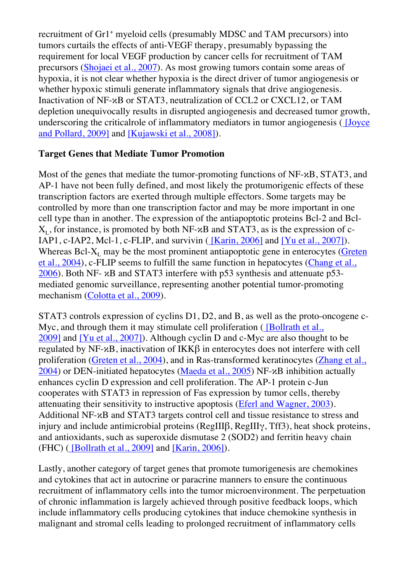recruitment of Gr1<sup>+</sup> myeloid cells (presumably MDSC and TAM precursors) into tumors curtails the effects of anti-VEGF therapy, presumably bypassing the requirement for local VEGF production by cancer cells for recruitment of TAM precursors (Shojaei et al., 2007). As most growing tumors contain some areas of hypoxia, it is not clear whether hypoxia is the direct driver of tumor angiogenesis or whether hypoxic stimuli generate inflammatory signals that drive angiogenesis. Inactivation of NF-κB or STAT3, neutralization of CCL2 or CXCL12, or TAM depletion unequivocally results in disrupted angiogenesis and decreased tumor growth, underscoring the criticalrole of inflammatory mediators in tumor angiogenesis ( [Joyce and Pollard, 2009] and [Kujawski et al., 2008]).

## **Target Genes that Mediate Tumor Promotion**

Most of the genes that mediate the tumor-promoting functions of NF-κB, STAT3, and AP-1 have not been fully defined, and most likely the protumorigenic effects of these transcription factors are exerted through multiple effectors. Some targets may be controlled by more than one transcription factor and may be more important in one cell type than in another. The expression of the antiapoptotic proteins Bcl-2 and Bcl- $X_L$ , for instance, is promoted by both NF- $\alpha$ B and STAT3, as is the expression of c-IAP1, c-IAP2, Mcl-1, c-FLIP, and survivin  $($  [Karin, 2006] and [Yu et al., 2007]). Whereas Bcl- $X_L$  may be the most prominent antiapoptotic gene in enterocytes (Greten et al., 2004), c-FLIP seems to fulfill the same function in hepatocytes (Chang et al., 2006). Both NF- κB and STAT3 interfere with p53 synthesis and attenuate p53 mediated genomic surveillance, representing another potential tumor-promoting mechanism (Colotta et al., 2009).

STAT3 controls expression of cyclins D1, D2, and B, as well as the proto-oncogene c-Myc, and through them it may stimulate cell proliferation (*[Bollrath et al.,* 2009] and [Yu et al., 2007]). Although cyclin D and c-Myc are also thought to be regulated by NF-κB, inactivation of IKKβ in enterocytes does not interfere with cell proliferation (Greten et al., 2004), and in Ras-transformed keratinocytes (Zhang et al., 2004) or DEN-initiated hepatocytes (Maeda et al., 2005) NF- $\kappa$ B inhibition actually enhances cyclin D expression and cell proliferation. The AP-1 protein c-Jun cooperates with STAT3 in repression of Fas expression by tumor cells, thereby attenuating their sensitivity to instructive apoptosis (Eferl and Wagner, 2003). Additional NF-κB and STAT3 targets control cell and tissue resistance to stress and injury and include antimicrobial proteins (RegIIIβ, RegIIIγ, Tff3), heat shock proteins, and antioxidants, such as superoxide dismutase 2 (SOD2) and ferritin heavy chain (FHC) ( [Bollrath et al., 2009] and [Karin, 2006]).

Lastly, another category of target genes that promote tumorigenesis are chemokines and cytokines that act in autocrine or paracrine manners to ensure the continuous recruitment of inflammatory cells into the tumor microenvironment. The perpetuation of chronic inflammation is largely achieved through positive feedback loops, which include inflammatory cells producing cytokines that induce chemokine synthesis in malignant and stromal cells leading to prolonged recruitment of inflammatory cells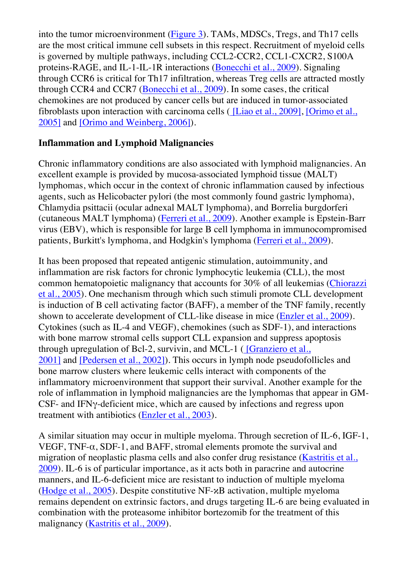into the tumor microenvironment (Figure 3). TAMs, MDSCs, Tregs, and Th17 cells are the most critical immune cell subsets in this respect. Recruitment of myeloid cells is governed by multiple pathways, including CCL2-CCR2, CCL1-CXCR2, S100A proteins-RAGE, and IL-1-IL-1R interactions (Bonecchi et al., 2009). Signaling through CCR6 is critical for Th17 infiltration, whereas Treg cells are attracted mostly through CCR4 and CCR7 (Bonecchi et al., 2009). In some cases, the critical chemokines are not produced by cancer cells but are induced in tumor-associated fibroblasts upon interaction with carcinoma cells ( [Liao et al., 2009], [Orimo et al., 2005] and [Orimo and Weinberg, 2006]).

## **Inflammation and Lymphoid Malignancies**

Chronic inflammatory conditions are also associated with lymphoid malignancies. An excellent example is provided by mucosa-associated lymphoid tissue (MALT) lymphomas, which occur in the context of chronic inflammation caused by infectious agents, such as Helicobacter pylori (the most commonly found gastric lymphoma), Chlamydia psittacii (ocular adnexal MALT lymphoma), and Borrelia burgdorferi (cutaneous MALT lymphoma) (Ferreri et al., 2009). Another example is Epstein-Barr virus (EBV), which is responsible for large B cell lymphoma in immunocompromised patients, Burkitt's lymphoma, and Hodgkin's lymphoma (Ferreri et al., 2009).

It has been proposed that repeated antigenic stimulation, autoimmunity, and inflammation are risk factors for chronic lymphocytic leukemia (CLL), the most common hematopoietic malignancy that accounts for 30% of all leukemias (Chiorazzi et al., 2005). One mechanism through which such stimuli promote CLL development is induction of B cell activating factor (BAFF), a member of the TNF family, recently shown to accelerate development of CLL-like disease in mice (Enzler et al., 2009). Cytokines (such as IL-4 and VEGF), chemokines (such as SDF-1), and interactions with bone marrow stromal cells support CLL expansion and suppress apoptosis through upregulation of Bcl-2, survivin, and MCL-1 ( [Granziero et al., 2001] and [Pedersen et al., 2002]). This occurs in lymph node pseudofollicles and bone marrow clusters where leukemic cells interact with components of the inflammatory microenvironment that support their survival. Another example for the role of inflammation in lymphoid malignancies are the lymphomas that appear in GM-CSF- and IFNγ-deficient mice, which are caused by infections and regress upon treatment with antibiotics (Enzler et al., 2003).

A similar situation may occur in multiple myeloma. Through secretion of IL-6, IGF-1, VEGF, TNF- $\alpha$ , SDF-1, and BAFF, stromal elements promote the survival and migration of neoplastic plasma cells and also confer drug resistance (Kastritis et al., 2009). IL-6 is of particular importance, as it acts both in paracrine and autocrine manners, and IL-6-deficient mice are resistant to induction of multiple myeloma (Hodge et al., 2005). Despite constitutive NF-κB activation, multiple myeloma remains dependent on extrinsic factors, and drugs targeting IL-6 are being evaluated in combination with the proteasome inhibitor bortezomib for the treatment of this malignancy (Kastritis et al., 2009).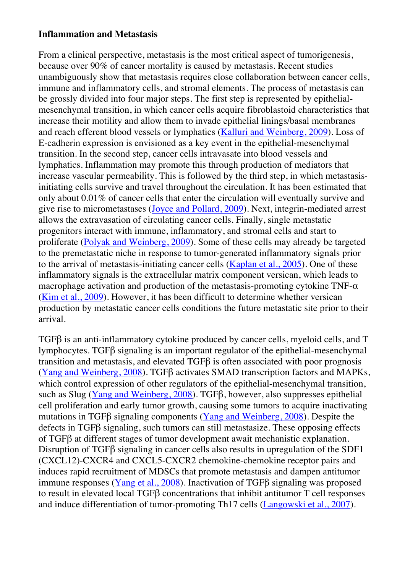#### **Inflammation and Metastasis**

From a clinical perspective, metastasis is the most critical aspect of tumorigenesis, because over 90% of cancer mortality is caused by metastasis. Recent studies unambiguously show that metastasis requires close collaboration between cancer cells, immune and inflammatory cells, and stromal elements. The process of metastasis can be grossly divided into four major steps. The first step is represented by epithelialmesenchymal transition, in which cancer cells acquire fibroblastoid characteristics that increase their motility and allow them to invade epithelial linings/basal membranes and reach efferent blood vessels or lymphatics (Kalluri and Weinberg, 2009). Loss of E-cadherin expression is envisioned as a key event in the epithelial-mesenchymal transition. In the second step, cancer cells intravasate into blood vessels and lymphatics. Inflammation may promote this through production of mediators that increase vascular permeability. This is followed by the third step, in which metastasisinitiating cells survive and travel throughout the circulation. It has been estimated that only about 0.01% of cancer cells that enter the circulation will eventually survive and give rise to micrometastases (Joyce and Pollard, 2009). Next, integrin-mediated arrest allows the extravasation of circulating cancer cells. Finally, single metastatic progenitors interact with immune, inflammatory, and stromal cells and start to proliferate (Polyak and Weinberg, 2009). Some of these cells may already be targeted to the premetastatic niche in response to tumor-generated inflammatory signals prior to the arrival of metastasis-initiating cancer cells (Kaplan et al., 2005). One of these inflammatory signals is the extracellular matrix component versican, which leads to macrophage activation and production of the metastasis-promoting cytokine  $TNF-\alpha$ (Kim et al., 2009). However, it has been difficult to determine whether versican production by metastatic cancer cells conditions the future metastatic site prior to their arrival.

TGFβ is an anti-inflammatory cytokine produced by cancer cells, myeloid cells, and T lymphocytes. TGFβ signaling is an important regulator of the epithelial-mesenchymal transition and metastasis, and elevated TGFβ is often associated with poor prognosis (Yang and Weinberg, 2008). TGFβ activates SMAD transcription factors and MAPKs, which control expression of other regulators of the epithelial-mesenchymal transition, such as Slug (Yang and Weinberg, 2008). TGFβ, however, also suppresses epithelial cell proliferation and early tumor growth, causing some tumors to acquire inactivating mutations in TGFβ signaling components (Yang and Weinberg, 2008). Despite the defects in TGFβ signaling, such tumors can still metastasize. These opposing effects of TGFβ at different stages of tumor development await mechanistic explanation. Disruption of TGFβ signaling in cancer cells also results in upregulation of the SDF1 (CXCL12)-CXCR4 and CXCL5-CXCR2 chemokine-chemokine receptor pairs and induces rapid recruitment of MDSCs that promote metastasis and dampen antitumor immune responses (Yang et al., 2008). Inactivation of TGFβ signaling was proposed to result in elevated local TGFβ concentrations that inhibit antitumor T cell responses and induce differentiation of tumor-promoting Th17 cells (Langowski et al., 2007).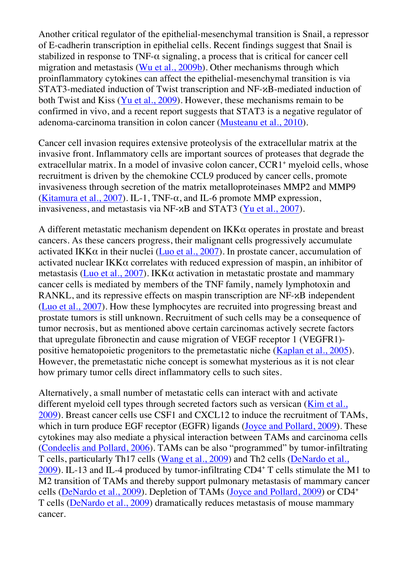Another critical regulator of the epithelial-mesenchymal transition is Snail, a repressor of E-cadherin transcription in epithelial cells. Recent findings suggest that Snail is stabilized in response to TNF-α signaling, a process that is critical for cancer cell migration and metastasis (Wu et al., 2009b). Other mechanisms through which proinflammatory cytokines can affect the epithelial-mesenchymal transition is via STAT3-mediated induction of Twist transcription and NF-κB-mediated induction of both Twist and Kiss (Yu et al., 2009). However, these mechanisms remain to be confirmed in vivo, and a recent report suggests that STAT3 is a negative regulator of adenoma-carcinoma transition in colon cancer (Musteanu et al., 2010).

Cancer cell invasion requires extensive proteolysis of the extracellular matrix at the invasive front. Inflammatory cells are important sources of proteases that degrade the extracellular matrix. In a model of invasive colon cancer, CCR1<sup>+</sup> myeloid cells, whose recruitment is driven by the chemokine CCL9 produced by cancer cells, promote invasiveness through secretion of the matrix metalloproteinases MMP2 and MMP9 (Kitamura et al., 2007). IL-1, TNF- $\alpha$ , and IL-6 promote MMP expression, invasiveness, and metastasis via NF-κB and STAT3 (Yu et al., 2007).

A different metastatic mechanism dependent on  $IKK\alpha$  operates in prostate and breast cancers. As these cancers progress, their malignant cells progressively accumulate activated IKK $\alpha$  in their nuclei (Luo et al., 2007). In prostate cancer, accumulation of activated nuclear IKKα correlates with reduced expression of maspin, an inhibitor of metastasis (Luo et al., 2007). IKK $\alpha$  activation in metastatic prostate and mammary cancer cells is mediated by members of the TNF family, namely lymphotoxin and RANKL, and its repressive effects on maspin transcription are NF-κB independent (Luo et al., 2007). How these lymphocytes are recruited into progressing breast and prostate tumors is still unknown. Recruitment of such cells may be a consequence of tumor necrosis, but as mentioned above certain carcinomas actively secrete factors that upregulate fibronectin and cause migration of VEGF receptor 1 (VEGFR1) positive hematopoietic progenitors to the premetastatic niche (Kaplan et al., 2005). However, the premetastatic niche concept is somewhat mysterious as it is not clear how primary tumor cells direct inflammatory cells to such sites.

Alternatively, a small number of metastatic cells can interact with and activate different myeloid cell types through secreted factors such as versican (Kim et al., 2009). Breast cancer cells use CSF1 and CXCL12 to induce the recruitment of TAMs, which in turn produce EGF receptor (EGFR) ligands (Joyce and Pollard, 2009). These cytokines may also mediate a physical interaction between TAMs and carcinoma cells (Condeelis and Pollard, 2006). TAMs can be also "programmed" by tumor-infiltrating T cells, particularly Th17 cells (Wang et al., 2009) and Th2 cells (DeNardo et al., 2009). IL-13 and IL-4 produced by tumor-infiltrating CD4+ T cells stimulate the M1 to M2 transition of TAMs and thereby support pulmonary metastasis of mammary cancer cells (DeNardo et al., 2009). Depletion of TAMs (Joyce and Pollard, 2009) or CD4+ T cells (DeNardo et al., 2009) dramatically reduces metastasis of mouse mammary cancer.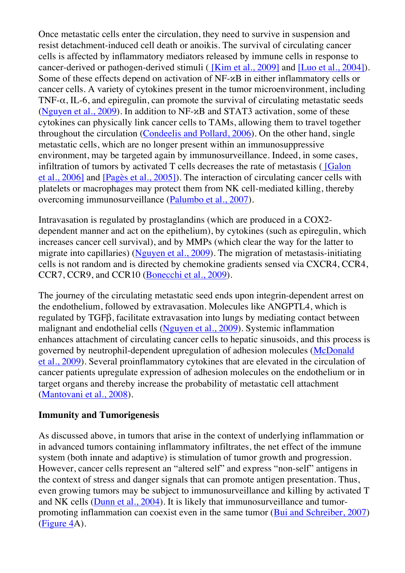Once metastatic cells enter the circulation, they need to survive in suspension and resist detachment-induced cell death or anoikis. The survival of circulating cancer cells is affected by inflammatory mediators released by immune cells in response to cancer-derived or pathogen-derived stimuli ( [Kim et al., 2009] and [Luo et al., 2004]). Some of these effects depend on activation of NF-κB in either inflammatory cells or cancer cells. A variety of cytokines present in the tumor microenvironment, including TNF- $\alpha$ , IL-6, and epiregulin, can promote the survival of circulating metastatic seeds (Nguyen et al., 2009). In addition to NF-κB and STAT3 activation, some of these cytokines can physically link cancer cells to TAMs, allowing them to travel together throughout the circulation (Condeelis and Pollard, 2006). On the other hand, single metastatic cells, which are no longer present within an immunosuppressive environment, may be targeted again by immunosurveillance. Indeed, in some cases, infiltration of tumors by activated T cells decreases the rate of metastasis ( [Galon et al., 2006] and [Pagès et al., 2005]). The interaction of circulating cancer cells with platelets or macrophages may protect them from NK cell-mediated killing, thereby overcoming immunosurveillance (Palumbo et al., 2007).

Intravasation is regulated by prostaglandins (which are produced in a COX2 dependent manner and act on the epithelium), by cytokines (such as epiregulin, which increases cancer cell survival), and by MMPs (which clear the way for the latter to migrate into capillaries) (Nguyen et al., 2009). The migration of metastasis-initiating cells is not random and is directed by chemokine gradients sensed via CXCR4, CCR4, CCR7, CCR9, and CCR10 (Bonecchi et al., 2009).

The journey of the circulating metastatic seed ends upon integrin-dependent arrest on the endothelium, followed by extravasation. Molecules like ANGPTL4, which is regulated by TGFβ, facilitate extravasation into lungs by mediating contact between malignant and endothelial cells (Nguyen et al., 2009). Systemic inflammation enhances attachment of circulating cancer cells to hepatic sinusoids, and this process is governed by neutrophil-dependent upregulation of adhesion molecules (McDonald et al., 2009). Several proinflammatory cytokines that are elevated in the circulation of cancer patients upregulate expression of adhesion molecules on the endothelium or in target organs and thereby increase the probability of metastatic cell attachment (Mantovani et al., 2008).

#### **Immunity and Tumorigenesis**

As discussed above, in tumors that arise in the context of underlying inflammation or in advanced tumors containing inflammatory infiltrates, the net effect of the immune system (both innate and adaptive) is stimulation of tumor growth and progression. However, cancer cells represent an "altered self" and express "non-self" antigens in the context of stress and danger signals that can promote antigen presentation. Thus, even growing tumors may be subject to immunosurveillance and killing by activated T and NK cells (Dunn et al., 2004). It is likely that immunosurveillance and tumorpromoting inflammation can coexist even in the same tumor (Bui and Schreiber, 2007) (Figure 4A).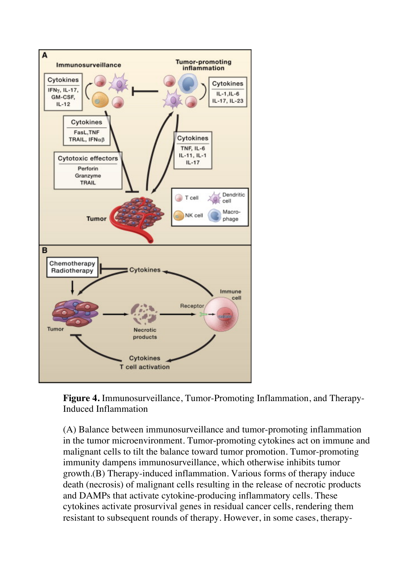

**Figure 4.** Immunosurveillance, Tumor-Promoting Inflammation, and Therapy-Induced Inflammation

(A) Balance between immunosurveillance and tumor-promoting inflammation in the tumor microenvironment. Tumor-promoting cytokines act on immune and malignant cells to tilt the balance toward tumor promotion. Tumor-promoting immunity dampens immunosurveillance, which otherwise inhibits tumor growth.(B) Therapy-induced inflammation. Various forms of therapy induce death (necrosis) of malignant cells resulting in the release of necrotic products and DAMPs that activate cytokine-producing inflammatory cells. These cytokines activate prosurvival genes in residual cancer cells, rendering them resistant to subsequent rounds of therapy. However, in some cases, therapy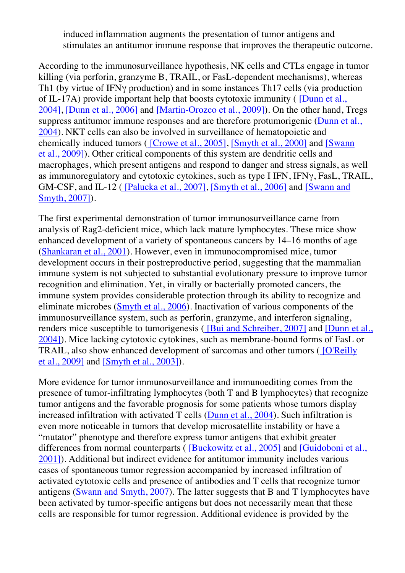induced inflammation augments the presentation of tumor antigens and stimulates an antitumor immune response that improves the therapeutic outcome.

According to the immunosurveillance hypothesis, NK cells and CTLs engage in tumor killing (via perforin, granzyme B, TRAIL, or FasL-dependent mechanisms), whereas Th1 (by virtue of IFNγ production) and in some instances Th17 cells (via production of IL-17A) provide important help that boosts cytotoxic immunity ( [Dunn et al., 2004], [Dunn et al., 2006] and [Martin-Orozco et al., 2009]). On the other hand, Tregs suppress antitumor immune responses and are therefore protumorigenic (Dunn et al., 2004). NKT cells can also be involved in surveillance of hematopoietic and chemically induced tumors ( [Crowe et al., 2005], [Smyth et al., 2000] and [Swann et al., 2009]). Other critical components of this system are dendritic cells and macrophages, which present antigens and respond to danger and stress signals, as well as immunoregulatory and cytotoxic cytokines, such as type I IFN, IFNγ, FasL, TRAIL, GM-CSF, and IL-12 ( [Palucka et al., 2007], [Smyth et al., 2006] and [Swann and Smyth, 2007]).

The first experimental demonstration of tumor immunosurveillance came from analysis of Rag2-deficient mice, which lack mature lymphocytes. These mice show enhanced development of a variety of spontaneous cancers by 14–16 months of age (Shankaran et al., 2001). However, even in immunocompromised mice, tumor development occurs in their postreproductive period, suggesting that the mammalian immune system is not subjected to substantial evolutionary pressure to improve tumor recognition and elimination. Yet, in virally or bacterially promoted cancers, the immune system provides considerable protection through its ability to recognize and eliminate microbes (Smyth et al., 2006). Inactivation of various components of the immunosurveillance system, such as perforin, granzyme, and interferon signaling, renders mice susceptible to tumorigenesis ( [Bui and Schreiber, 2007] and [Dunn et al., 2004]). Mice lacking cytotoxic cytokines, such as membrane-bound forms of FasL or TRAIL, also show enhanced development of sarcomas and other tumors ( [O'Reilly et al., 2009] and [Smyth et al., 2003]).

More evidence for tumor immunosurveillance and immunoediting comes from the presence of tumor-infiltrating lymphocytes (both T and B lymphocytes) that recognize tumor antigens and the favorable prognosis for some patients whose tumors display increased infiltration with activated T cells (Dunn et al., 2004). Such infiltration is even more noticeable in tumors that develop microsatellite instability or have a "mutator" phenotype and therefore express tumor antigens that exhibit greater differences from normal counterparts ( [Buckowitz et al., 2005] and [Guidoboni et al., 2001]). Additional but indirect evidence for antitumor immunity includes various cases of spontaneous tumor regression accompanied by increased infiltration of activated cytotoxic cells and presence of antibodies and T cells that recognize tumor antigens (Swann and Smyth, 2007). The latter suggests that B and T lymphocytes have been activated by tumor-specific antigens but does not necessarily mean that these cells are responsible for tumor regression. Additional evidence is provided by the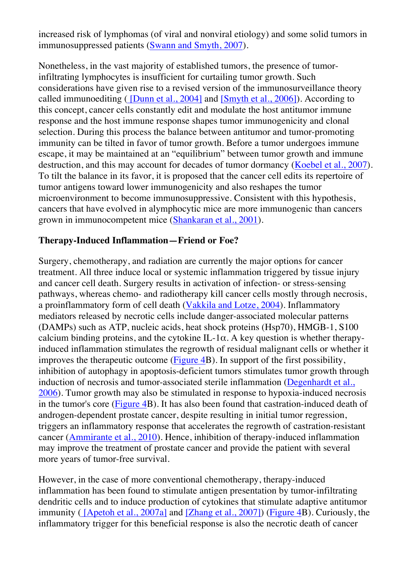increased risk of lymphomas (of viral and nonviral etiology) and some solid tumors in immunosuppressed patients (Swann and Smyth, 2007).

Nonetheless, in the vast majority of established tumors, the presence of tumorinfiltrating lymphocytes is insufficient for curtailing tumor growth. Such considerations have given rise to a revised version of the immunosurveillance theory called immunoediting  $(Dunn et al., 2004]$  and  $(Smyth et al., 2006])$ . According to this concept, cancer cells constantly edit and modulate the host antitumor immune response and the host immune response shapes tumor immunogenicity and clonal selection. During this process the balance between antitumor and tumor-promoting immunity can be tilted in favor of tumor growth. Before a tumor undergoes immune escape, it may be maintained at an "equilibrium" between tumor growth and immune destruction, and this may account for decades of tumor dormancy (Koebel et al., 2007). To tilt the balance in its favor, it is proposed that the cancer cell edits its repertoire of tumor antigens toward lower immunogenicity and also reshapes the tumor microenvironment to become immunosuppressive. Consistent with this hypothesis, cancers that have evolved in alymphocytic mice are more immunogenic than cancers grown in immunocompetent mice (Shankaran et al., 2001).

#### **Therapy-Induced Inflammation—Friend or Foe?**

Surgery, chemotherapy, and radiation are currently the major options for cancer treatment. All three induce local or systemic inflammation triggered by tissue injury and cancer cell death. Surgery results in activation of infection- or stress-sensing pathways, whereas chemo- and radiotherapy kill cancer cells mostly through necrosis, a proinflammatory form of cell death (Vakkila and Lotze, 2004). Inflammatory mediators released by necrotic cells include danger-associated molecular patterns (DAMPs) such as ATP, nucleic acids, heat shock proteins (Hsp70), HMGB-1, S100 calcium binding proteins, and the cytokine IL-1 $\alpha$ . A key question is whether therapyinduced inflammation stimulates the regrowth of residual malignant cells or whether it improves the therapeutic outcome (Figure 4B). In support of the first possibility, inhibition of autophagy in apoptosis-deficient tumors stimulates tumor growth through induction of necrosis and tumor-associated sterile inflammation (Degenhardt et al., 2006). Tumor growth may also be stimulated in response to hypoxia-induced necrosis in the tumor's core (Figure 4B). It has also been found that castration-induced death of androgen-dependent prostate cancer, despite resulting in initial tumor regression, triggers an inflammatory response that accelerates the regrowth of castration-resistant cancer (Ammirante et al., 2010). Hence, inhibition of therapy-induced inflammation may improve the treatment of prostate cancer and provide the patient with several more years of tumor-free survival.

However, in the case of more conventional chemotherapy, therapy-induced inflammation has been found to stimulate antigen presentation by tumor-infiltrating dendritic cells and to induce production of cytokines that stimulate adaptive antitumor immunity ( [Apetoh et al., 2007a] and [Zhang et al., 2007]) (Figure 4B). Curiously, the inflammatory trigger for this beneficial response is also the necrotic death of cancer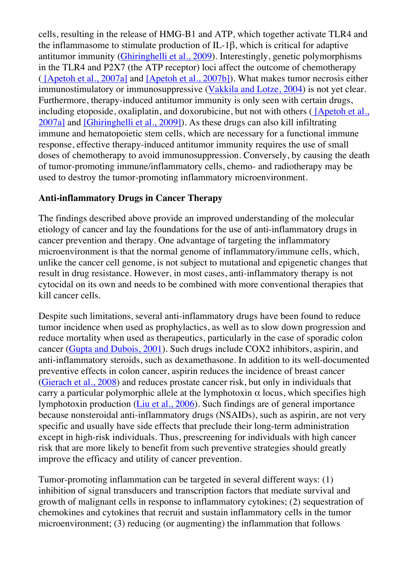cells, resulting in the release of HMG-B1 and ATP, which together activate TLR4 and the inflammasome to stimulate production of IL-1β, which is critical for adaptive antitumor immunity (Ghiringhelli et al., 2009). Interestingly, genetic polymorphisms in the TLR4 and P2X7 (the ATP receptor) loci affect the outcome of chemotherapy ( [Apetoh et al., 2007a] and [Apetoh et al., 2007b]). What makes tumor necrosis either immunostimulatory or immunosuppressive (Vakkila and Lotze, 2004) is not yet clear. Furthermore, therapy-induced antitumor immunity is only seen with certain drugs, including etoposide, oxaliplatin, and doxorubicine, but not with others (*[Apetoh et al.,* 2007a] and [Ghiringhelli et al., 2009]). As these drugs can also kill infiltrating immune and hematopoietic stem cells, which are necessary for a functional immune response, effective therapy-induced antitumor immunity requires the use of small doses of chemotherapy to avoid immunosuppression. Conversely, by causing the death of tumor-promoting immune/inflammatory cells, chemo- and radiotherapy may be used to destroy the tumor-promoting inflammatory microenvironment.

#### **Anti-inflammatory Drugs in Cancer Therapy**

The findings described above provide an improved understanding of the molecular etiology of cancer and lay the foundations for the use of anti-inflammatory drugs in cancer prevention and therapy. One advantage of targeting the inflammatory microenvironment is that the normal genome of inflammatory/immune cells, which, unlike the cancer cell genome, is not subject to mutational and epigenetic changes that result in drug resistance. However, in most cases, anti-inflammatory therapy is not cytocidal on its own and needs to be combined with more conventional therapies that kill cancer cells.

Despite such limitations, several anti-inflammatory drugs have been found to reduce tumor incidence when used as prophylactics, as well as to slow down progression and reduce mortality when used as therapeutics, particularly in the case of sporadic colon cancer (Gupta and Dubois, 2001). Such drugs include COX2 inhibitors, aspirin, and anti-inflammatory steroids, such as dexamethasone. In addition to its well-documented preventive effects in colon cancer, aspirin reduces the incidence of breast cancer (Gierach et al., 2008) and reduces prostate cancer risk, but only in individuals that carry a particular polymorphic allele at the lymphotoxin  $\alpha$  locus, which specifies high lymphotoxin production (Liu et al., 2006). Such findings are of general importance because nonsteroidal anti-inflammatory drugs (NSAIDs), such as aspirin, are not very specific and usually have side effects that preclude their long-term administration except in high-risk individuals. Thus, prescreening for individuals with high cancer risk that are more likely to benefit from such preventive strategies should greatly improve the efficacy and utility of cancer prevention.

Tumor-promoting inflammation can be targeted in several different ways: (1) inhibition of signal transducers and transcription factors that mediate survival and growth of malignant cells in response to inflammatory cytokines; (2) sequestration of chemokines and cytokines that recruit and sustain inflammatory cells in the tumor microenvironment; (3) reducing (or augmenting) the inflammation that follows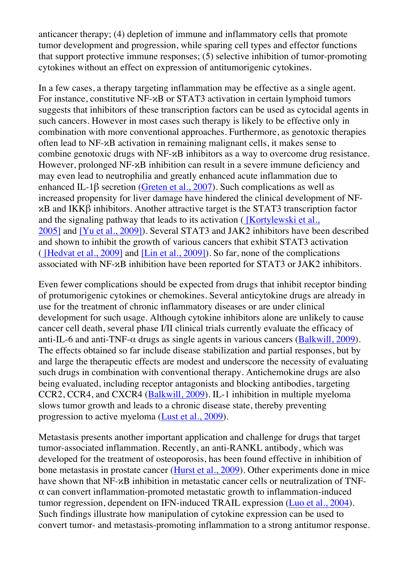anticancer therapy; (4) depletion of immune and inflammatory cells that promote tumor development and progression, while sparing cell types and effector functions that support protective immune responses; (5) selective inhibition of tumor-promoting cytokines without an effect on expression of antitumorigenic cytokines.

In a few cases, a therapy targeting inflammation may be effective as a single agent. For instance, constitutive NF-κB or STAT3 activation in certain lymphoid tumors suggests that inhibitors of these transcription factors can be used as cytocidal agents in such cancers. However in most cases such therapy is likely to be effective only in combination with more conventional approaches. Furthermore, as genotoxic therapies often lead to NF-κB activation in remaining malignant cells, it makes sense to combine genotoxic drugs with NF-κB inhibitors as a way to overcome drug resistance. However, prolonged NF-κB inhibition can result in a severe immune deficiency and may even lead to neutrophilia and greatly enhanced acute inflammation due to enhanced IL-1β secretion (Greten et al., 2007). Such complications as well as increased propensity for liver damage have hindered the clinical development of NFκB and IKKβ inhibitors. Another attractive target is the STAT3 transcription factor and the signaling pathway that leads to its activation (*[Kortylewski et al.,* 2005] and [Yu et al., 2009]). Several STAT3 and JAK2 inhibitors have been described and shown to inhibit the growth of various cancers that exhibit STAT3 activation ( [Hedvat et al., 2009] and [Lin et al., 2009]). So far, none of the complications associated with NF-κB inhibition have been reported for STAT3 or JAK2 inhibitors.

Even fewer complications should be expected from drugs that inhibit receptor binding of protumorigenic cytokines or chemokines. Several anticytokine drugs are already in use for the treatment of chronic inflammatory diseases or are under clinical development for such usage. Although cytokine inhibitors alone are unlikely to cause cancer cell death, several phase I/II clinical trials currently evaluate the efficacy of anti-IL-6 and anti-TNF- $\alpha$  drugs as single agents in various cancers (Balkwill, 2009). The effects obtained so far include disease stabilization and partial responses, but by and large the therapeutic effects are modest and underscore the necessity of evaluating such drugs in combination with conventional therapy. Antichemokine drugs are also being evaluated, including receptor antagonists and blocking antibodies, targeting CCR2, CCR4, and CXCR4 (Balkwill, 2009). IL-1 inhibition in multiple myeloma slows tumor growth and leads to a chronic disease state, thereby preventing progression to active myeloma (Lust et al., 2009).

Metastasis presents another important application and challenge for drugs that target tumor-associated inflammation. Recently, an anti-RANKL antibody, which was developed for the treatment of osteoporosis, has been found effective in inhibition of bone metastasis in prostate cancer (Hurst et al., 2009). Other experiments done in mice have shown that NF-κB inhibition in metastatic cancer cells or neutralization of TNF- $\alpha$  can convert inflammation-promoted metastatic growth to inflammation-induced tumor regression, dependent on IFN-induced TRAIL expression (Luo et al., 2004). Such findings illustrate how manipulation of cytokine expression can be used to convert tumor- and metastasis-promoting inflammation to a strong antitumor response.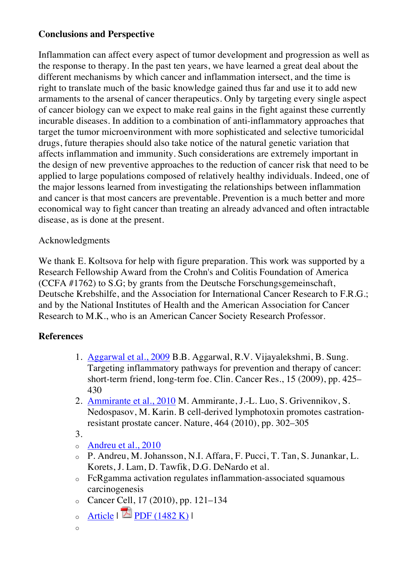## **Conclusions and Perspective**

Inflammation can affect every aspect of tumor development and progression as well as the response to therapy. In the past ten years, we have learned a great deal about the different mechanisms by which cancer and inflammation intersect, and the time is right to translate much of the basic knowledge gained thus far and use it to add new armaments to the arsenal of cancer therapeutics. Only by targeting every single aspect of cancer biology can we expect to make real gains in the fight against these currently incurable diseases. In addition to a combination of anti-inflammatory approaches that target the tumor microenvironment with more sophisticated and selective tumoricidal drugs, future therapies should also take notice of the natural genetic variation that affects inflammation and immunity. Such considerations are extremely important in the design of new preventive approaches to the reduction of cancer risk that need to be applied to large populations composed of relatively healthy individuals. Indeed, one of the major lessons learned from investigating the relationships between inflammation and cancer is that most cancers are preventable. Prevention is a much better and more economical way to fight cancer than treating an already advanced and often intractable disease, as is done at the present.

## Acknowledgments

We thank E. Koltsova for help with figure preparation. This work was supported by a Research Fellowship Award from the Crohn's and Colitis Foundation of America (CCFA #1762) to S.G; by grants from the Deutsche Forschungsgemeinschaft, Deutsche Krebshilfe, and the Association for International Cancer Research to F.R.G.; and by the National Institutes of Health and the American Association for Cancer Research to M.K., who is an American Cancer Society Research Professor.

## **References**

- 1. Aggarwal et al., 2009 B.B. Aggarwal, R.V. Vijayalekshmi, B. Sung. Targeting inflammatory pathways for prevention and therapy of cancer: short-term friend, long-term foe. Clin. Cancer Res., 15 (2009), pp. 425– 430
- 2. Ammirante et al., 2010 M. Ammirante, J.-L. Luo, S. Grivennikov, S. Nedospasov, M. Karin. B cell-derived lymphotoxin promotes castrationresistant prostate cancer. Nature, 464 (2010), pp. 302–305
- 3.
- o Andreu et al., 2010
- o P. Andreu, M. Johansson, N.I. Affara, F. Pucci, T. Tan, S. Junankar, L. Korets, J. Lam, D. Tawfik, D.G. DeNardo et al.
- o FcRgamma activation regulates inflammation-associated squamous carcinogenesis
- o Cancer Cell, 17 (2010), pp. 121–134
- $\circ$  Article  $\mathbb{Z}$  PDF (1482 K) |
- o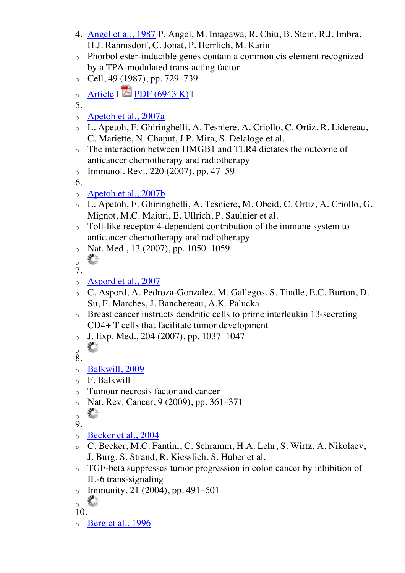- 4. Angel et al., 1987 P. Angel, M. Imagawa, R. Chiu, B. Stein, R.J. Imbra, H.J. Rahmsdorf, C. Jonat, P. Herrlich, M. Karin
- o Phorbol ester-inducible genes contain a common cis element recognized by a TPA-modulated trans-acting factor
- $\degree$  Cell, 49 (1987), pp. 729–739
- o Article  $|\mathbf{E}|\mathbf{PDF}(6943 \text{ K})|$
- 5.
- o Apetoh et al., 2007a
- o L. Apetoh, F. Ghiringhelli, A. Tesniere, A. Criollo, C. Ortiz, R. Lidereau, C. Mariette, N. Chaput, J.P. Mira, S. Delaloge et al.
- o The interaction between HMGB1 and TLR4 dictates the outcome of anticancer chemotherapy and radiotherapy
- o Immunol. Rev., 220 (2007), pp. 47–59
- 6.
- o Apetoh et al., 2007b
- o L. Apetoh, F. Ghiringhelli, A. Tesniere, M. Obeid, C. Ortiz, A. Criollo, G. Mignot, M.C. Maiuri, E. Ullrich, P. Saulnier et al.
- o Toll-like receptor 4-dependent contribution of the immune system to anticancer chemotherapy and radiotherapy
- $\circ$  Nat. Med., 13 (2007), pp. 1050–1059
- 器 o
- 7.
- o Aspord et al., 2007
- o C. Aspord, A. Pedroza-Gonzalez, M. Gallegos, S. Tindle, E.C. Burton, D. Su, F. Marches, J. Banchereau, A.K. Palucka
- o Breast cancer instructs dendritic cells to prime interleukin 13-secreting CD4+ T cells that facilitate tumor development
- o J. Exp. Med., 204 (2007), pp. 1037–1047
- 叢 o
- 8.
- o Balkwill, 2009
- o F. Balkwill
- o Tumour necrosis factor and cancer
- $\frac{1}{20}$  Nat. Rev. Cancer, 9 (2009), pp. 361–371
- o
- 9.
- o Becker et al., 2004
- o C. Becker, M.C. Fantini, C. Schramm, H.A. Lehr, S. Wirtz, A. Nikolaev, J. Burg, S. Strand, R. Kiesslich, S. Huber et al.
- o TGF-beta suppresses tumor progression in colon cancer by inhibition of IL-6 trans-signaling
- $\circ$  Immunity, 21 (2004), pp. 491–501
- 糕 o
- 10.
- $\circ$  Berg et al., 1996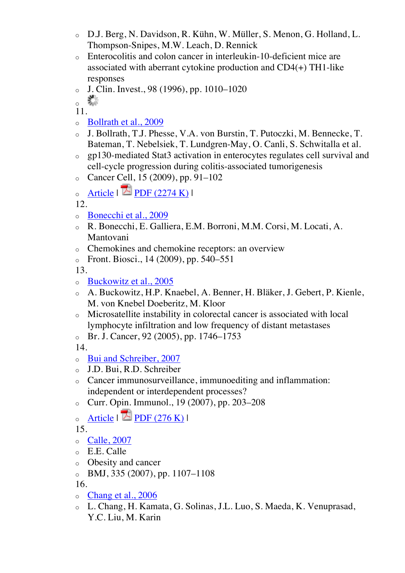- o D.J. Berg, N. Davidson, R. Kühn, W. Müller, S. Menon, G. Holland, L. Thompson-Snipes, M.W. Leach, D. Rennick
- o Enterocolitis and colon cancer in interleukin-10-deficient mice are associated with aberrant cytokine production and CD4(+) TH1-like responses
- $O$  J. Clin. Invest., 98 (1996), pp. 1010–1020

糕 o

11.

- o Bollrath et al., 2009
- o J. Bollrath, T.J. Phesse, V.A. von Burstin, T. Putoczki, M. Bennecke, T. Bateman, T. Nebelsiek, T. Lundgren-May, O. Canli, S. Schwitalla et al.
- o gp130-mediated Stat3 activation in enterocytes regulates cell survival and cell-cycle progression during colitis-associated tumorigenesis
- o Cancer Cell, 15 (2009), pp. 91–102
- $\circ$  Article |  $\triangle$  PDF (2274 K) |

12.

- o Bonecchi et al., 2009
- o R. Bonecchi, E. Galliera, E.M. Borroni, M.M. Corsi, M. Locati, A. Mantovani
- Chemokines and chemokine receptors: an overview
- $\circ$  Front. Biosci., 14 (2009), pp. 540–551

13.

- o Buckowitz et al., 2005
- o A. Buckowitz, H.P. Knaebel, A. Benner, H. Bläker, J. Gebert, P. Kienle, M. von Knebel Doeberitz, M. Kloor
- Microsatellite instability in colorectal cancer is associated with local lymphocyte infiltration and low frequency of distant metastases
- o Br. J. Cancer, 92 (2005), pp. 1746–1753

14.

- o Bui and Schreiber, 2007
- o J.D. Bui, R.D. Schreiber
- o Cancer immunosurveillance, immunoediting and inflammation: independent or interdependent processes?
- o Curr. Opin. Immunol., 19 (2007), pp. 203–208
- $\circ$  Article |  $\triangle$  PDF (276 K) |

15.

- o Calle, 2007
- o E.E. Calle
- o Obesity and cancer
- $\circ$  BMJ, 335 (2007), pp. 1107–1108

- o Chang et al., 2006
- o L. Chang, H. Kamata, G. Solinas, J.L. Luo, S. Maeda, K. Venuprasad, Y.C. Liu, M. Karin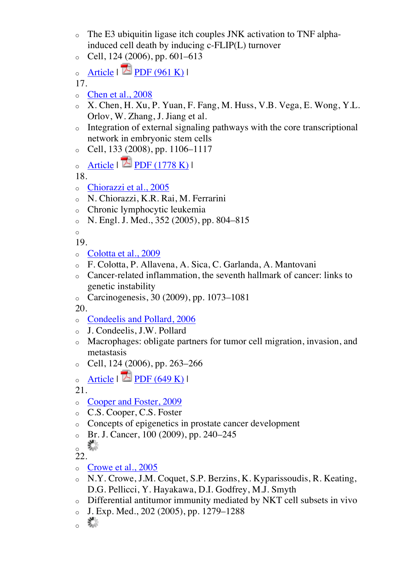- $\circ$  The E3 ubiquitin ligase itch couples JNK activation to TNF alphainduced cell death by inducing c-FLIP(L) turnover
- Cell, 124 (2006), pp. 601–613

```
\circ Article | \triangle PDF (961 K) |
```
- o Chen et al., 2008
- o X. Chen, H. Xu, P. Yuan, F. Fang, M. Huss, V.B. Vega, E. Wong, Y.L. Orlov, W. Zhang, J. Jiang et al.
- o Integration of external signaling pathways with the core transcriptional network in embryonic stem cells
- $\degree$  Cell, 133 (2008), pp. 1106–1117
- $\circ$  Article  $\mathbb{Z}$  PDF (1778 K) I

18.

- o Chiorazzi et al., 2005
- o N. Chiorazzi, K.R. Rai, M. Ferrarini
- o Chronic lymphocytic leukemia
- $N.$  Engl. J. Med., 352 (2005), pp. 804–815

o

- 19.
- o Colotta et al., 2009
- o F. Colotta, P. Allavena, A. Sica, C. Garlanda, A. Mantovani
- o Cancer-related inflammation, the seventh hallmark of cancer: links to genetic instability
- o Carcinogenesis, 30 (2009), pp. 1073–1081

20.

- o Condeelis and Pollard, 2006
- o J. Condeelis, J.W. Pollard
- o Macrophages: obligate partners for tumor cell migration, invasion, and metastasis
- o Cell, 124 (2006), pp. 263–266
- $\circ$  Article |  $\blacksquare$  PDF (649 K) |

21.

- o Cooper and Foster, 2009
- o C.S. Cooper, C.S. Foster
- o Concepts of epigenetics in prostate cancer development
- o Br. J. Cancer, 100 (2009), pp. 240–245
- ▓ o

- o Crowe et al., 2005
- o N.Y. Crowe, J.M. Coquet, S.P. Berzins, K. Kyparissoudis, R. Keating, D.G. Pellicci, Y. Hayakawa, D.I. Godfrey, M.J. Smyth
- o Differential antitumor immunity mediated by NKT cell subsets in vivo
- $J.$  Exp. Med., 202 (2005), pp. 1279–1288
- 聯 o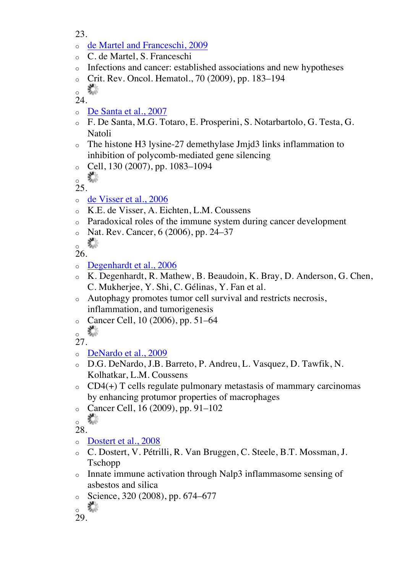- 23.
- o de Martel and Franceschi, 2009
- o C. de Martel, S. Franceschi
- o Infections and cancer: established associations and new hypotheses
- o Crit. Rev. Oncol. Hematol., 70 (2009), pp. 183–194

器 o

24.

- o De Santa et al., 2007
- o F. De Santa, M.G. Totaro, E. Prosperini, S. Notarbartolo, G. Testa, G. Natoli
- o The histone H3 lysine-27 demethylase Jmjd3 links inflammation to inhibition of polycomb-mediated gene silencing
- $\degree$  Cell, 130 (2007), pp. 1083–1094

器 o 25.

- o de Visser et al., 2006
- o K.E. de Visser, A. Eichten, L.M. Coussens
- o Paradoxical roles of the immune system during cancer development
- $\circ$  Nat. Rev. Cancer, 6 (2006), pp. 24–37

器 o

26.

- o Degenhardt et al., 2006
- o K. Degenhardt, R. Mathew, B. Beaudoin, K. Bray, D. Anderson, G. Chen, C. Mukherjee, Y. Shi, C. Gélinas, Y. Fan et al.
- o Autophagy promotes tumor cell survival and restricts necrosis, inflammation, and tumorigenesis
- o Cancer Cell, 10 (2006), pp. 51–64
- 壽 o

27.

- o DeNardo et al., 2009
- o D.G. DeNardo, J.B. Barreto, P. Andreu, L. Vasquez, D. Tawfik, N. Kolhatkar, L.M. Coussens
- $\circ$  CD4(+) T cells regulate pulmonary metastasis of mammary carcinomas by enhancing protumor properties of macrophages
- o Cancer Cell, 16 (2009), pp. 91–102

 $\frac{1}{2}$ 

28.

o Dostert et al., 2008

- o C. Dostert, V. Pétrilli, R. Van Bruggen, C. Steele, B.T. Mossman, J. Tschopp
- o Innate immune activation through Nalp3 inflammasome sensing of asbestos and silica
- $\degree$  Science, 320 (2008), pp. 674–677

<sup>▓</sup> o

<sup>29.</sup>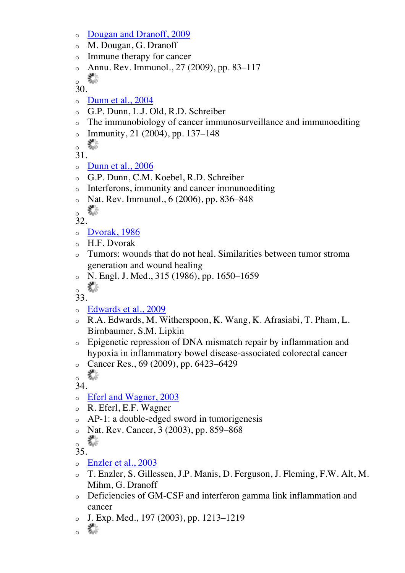- o Dougan and Dranoff, 2009
- o M. Dougan, G. Dranoff
- o Immune therapy for cancer
- Annu. Rev. Immunol., 27 (2009), pp. 83–117

毊 o

30.

- o Dunn et al., 2004
- o G.P. Dunn, L.J. Old, R.D. Schreiber
- o The immunobiology of cancer immunosurveillance and immunoediting
- $\circ$  Immunity, 21 (2004), pp. 137–148

R. o

31.

- $\circ$  Dunn et al., 2006
- o G.P. Dunn, C.M. Koebel, R.D. Schreiber
- o Interferons, immunity and cancer immunoediting
- $\circ$  Nat. Rev. Immunol., 6 (2006), pp. 836–848

‰ o

32.

- o Dvorak, 1986
- $\circ$  H.F. Dvorak
- o Tumors: wounds that do not heal. Similarities between tumor stroma generation and wound healing
- o N. Engl. J. Med., 315 (1986), pp. 1650–1659
- 器 o

33.

- o Edwards et al., 2009
- o R.A. Edwards, M. Witherspoon, K. Wang, K. Afrasiabi, T. Pham, L. Birnbaumer, S.M. Lipkin
- o Epigenetic repression of DNA mismatch repair by inflammation and hypoxia in inflammatory bowel disease-associated colorectal cancer
- o Cancer Res., 69 (2009), pp. 6423–6429

K. o

 $\overline{3}4$ 

- o Eferl and Wagner, 2003
- o R. Eferl, E.F. Wagner
- o AP-1: a double-edged sword in tumorigenesis
- o Nat. Rev. Cancer, 3 (2003), pp. 859–868
- 業 o

- o Enzler et al., 2003
- o T. Enzler, S. Gillessen, J.P. Manis, D. Ferguson, J. Fleming, F.W. Alt, M. Mihm, G. Dranoff
- o Deficiencies of GM-CSF and interferon gamma link inflammation and cancer
- $\circ$  J. Exp. Med., 197 (2003), pp. 1213–1219

$$
\circ \ \ \mathbb{Z}
$$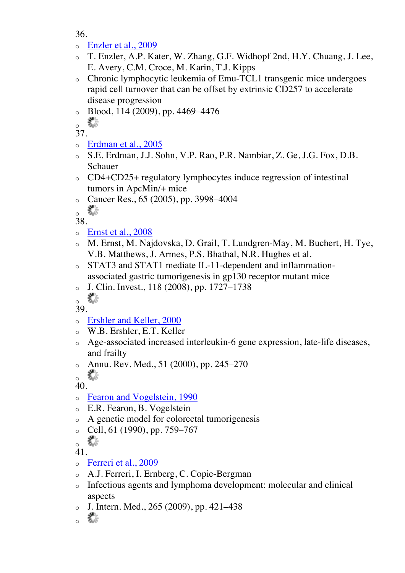- o Enzler et al., 2009
- o T. Enzler, A.P. Kater, W. Zhang, G.F. Widhopf 2nd, H.Y. Chuang, J. Lee, E. Avery, C.M. Croce, M. Karin, T.J. Kipps
- o Chronic lymphocytic leukemia of Emu-TCL1 transgenic mice undergoes rapid cell turnover that can be offset by extrinsic CD257 to accelerate disease progression
- o Blood, 114 (2009), pp. 4469–4476

叢 o

37.

- o Erdman et al., 2005
- o S.E. Erdman, J.J. Sohn, V.P. Rao, P.R. Nambiar, Z. Ge, J.G. Fox, D.B. Schauer
- o CD4+CD25+ regulatory lymphocytes induce regression of intestinal tumors in ApcMin/+ mice
- $\degree$  Cancer Res., 65 (2005), pp. 3998–4004

器 o

38.

- o Ernst et al., 2008
- o M. Ernst, M. Najdovska, D. Grail, T. Lundgren-May, M. Buchert, H. Tye, V.B. Matthews, J. Armes, P.S. Bhathal, N.R. Hughes et al.
- o STAT3 and STAT1 mediate IL-11-dependent and inflammationassociated gastric tumorigenesis in gp130 receptor mutant mice
- $\circ$  J. Clin. Invest., 118 (2008), pp. 1727–1738

器 o

- 39.
- o Ershler and Keller, 2000
- o W.B. Ershler, E.T. Keller
- o Age-associated increased interleukin-6 gene expression, late-life diseases, and frailty
- o Annu. Rev. Med., 51 (2000), pp. 245–270

蠹 o

40.

- o Fearon and Vogelstein, 1990
- o E.R. Fearon, B. Vogelstein
- o A genetic model for colorectal tumorigenesis
- $\degree$  Cell, 61 (1990), pp. 759–767

- o Ferreri et al., 2009
- o A.J. Ferreri, I. Ernberg, C. Copie-Bergman
- o Infectious agents and lymphoma development: molecular and clinical aspects
- J. Intern. Med., 265 (2009), pp. 421–438

叢 o

鵗 o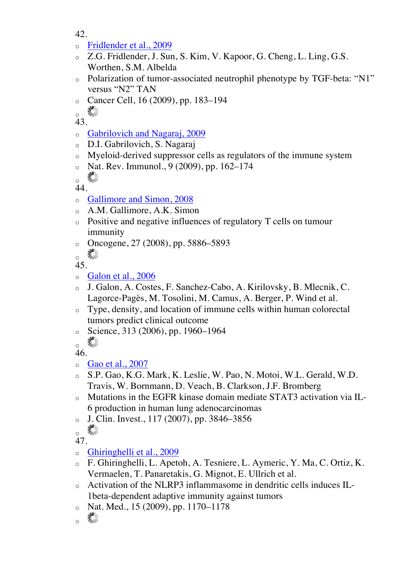- 42.
- o Fridlender et al., 2009
- o Z.G. Fridlender, J. Sun, S. Kim, V. Kapoor, G. Cheng, L. Ling, G.S. Worthen, S.M. Albelda
- o Polarization of tumor-associated neutrophil phenotype by TGF-beta: "N1" versus "N2" TAN
- o Cancer Cell, 16 (2009), pp. 183–194

▓ o

43.

- o Gabrilovich and Nagaraj, 2009
- o D.I. Gabrilovich, S. Nagaraj
- o Myeloid-derived suppressor cells as regulators of the immune system
- $\circ$  Nat. Rev. Immunol., 9 (2009), pp. 162–174

器 o 44.

- o Gallimore and Simon, 2008
- o A.M. Gallimore, A.K. Simon
- o Positive and negative influences of regulatory T cells on tumour immunity
- o Oncogene, 27 (2008), pp. 5886–5893

鬗 o

45.

- o Galon et al., 2006
- o J. Galon, A. Costes, F. Sanchez-Cabo, A. Kirilovsky, B. Mlecnik, C. Lagorce-Pagès, M. Tosolini, M. Camus, A. Berger, P. Wind et al.
- o Type, density, and location of immune cells within human colorectal tumors predict clinical outcome
- $\degree$  Science, 313 (2006), pp. 1960–1964

 $\frac{1}{2}$ 

46.

- $\circ$  Gao et al., 2007
- o S.P. Gao, K.G. Mark, K. Leslie, W. Pao, N. Motoi, W.L. Gerald, W.D. Travis, W. Bornmann, D. Veach, B. Clarkson, J.F. Bromberg
- o Mutations in the EGFR kinase domain mediate STAT3 activation via IL-6 production in human lung adenocarcinomas
- o J. Clin. Invest., 117 (2007), pp. 3846–3856

- o Ghiringhelli et al., 2009
- o F. Ghiringhelli, L. Apetoh, A. Tesniere, L. Aymeric, Y. Ma, C. Ortiz, K. Vermaelen, T. Panaretakis, G. Mignot, E. Ullrich et al.
- o Activation of the NLRP3 inflammasome in dendritic cells induces IL-1beta-dependent adaptive immunity against tumors
- Nat. Med., 15 (2009), pp. 1170–1178
- 叢 o

o Xe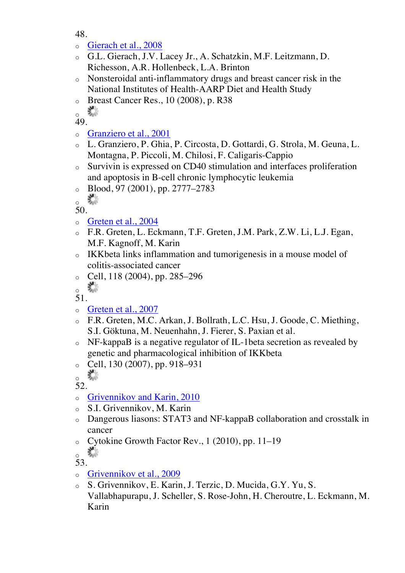- o Gierach et al., 2008
- o G.L. Gierach, J.V. Lacey Jr., A. Schatzkin, M.F. Leitzmann, D. Richesson, A.R. Hollenbeck, L.A. Brinton
- o Nonsteroidal anti-inflammatory drugs and breast cancer risk in the National Institutes of Health-AARP Diet and Health Study
- o Breast Cancer Res., 10 (2008), p. R38

▓ o

49.

- o Granziero et al., 2001
- o L. Granziero, P. Ghia, P. Circosta, D. Gottardi, G. Strola, M. Geuna, L. Montagna, P. Piccoli, M. Chilosi, F. Caligaris-Cappio
- o Survivin is expressed on CD40 stimulation and interfaces proliferation and apoptosis in B-cell chronic lymphocytic leukemia
- $\circ$  Blood, 97 (2001), pp. 2777–2783

器 o

- 50.
- o Greten et al., 2004
- o F.R. Greten, L. Eckmann, T.F. Greten, J.M. Park, Z.W. Li, L.J. Egan, M.F. Kagnoff, M. Karin
- o IKKbeta links inflammation and tumorigenesis in a mouse model of colitis-associated cancer
- $\degree$  Cell, 118 (2004), pp. 285–296
- 器 o

51.

- o Greten et al., 2007
- o F.R. Greten, M.C. Arkan, J. Bollrath, L.C. Hsu, J. Goode, C. Miething, S.I. Göktuna, M. Neuenhahn, J. Fierer, S. Paxian et al.
- o NF-kappaB is a negative regulator of IL-1beta secretion as revealed by genetic and pharmacological inhibition of IKKbeta
- $\degree$  Cell, 130 (2007), pp. 918–931

叢 o

52.

- o Grivennikov and Karin, 2010
- o S.I. Grivennikov, M. Karin
- o Dangerous liasons: STAT3 and NF-kappaB collaboration and crosstalk in cancer
- o Cytokine Growth Factor Rev., 1 (2010), pp. 11–19

毊 o

- 53.
- o Grivennikov et al., 2009
- o S. Grivennikov, E. Karin, J. Terzic, D. Mucida, G.Y. Yu, S. Vallabhapurapu, J. Scheller, S. Rose-John, H. Cheroutre, L. Eckmann, M. Karin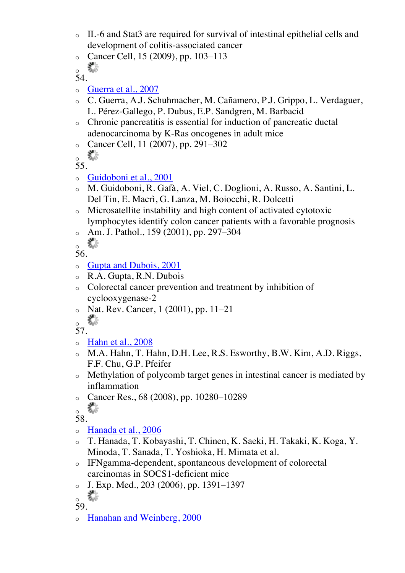- o IL-6 and Stat3 are required for survival of intestinal epithelial cells and development of colitis-associated cancer
- o Cancer Cell, 15 (2009), pp. 103–113

```
e.
o
```
- o Guerra et al., 2007
- o C. Guerra, A.J. Schuhmacher, M. Cañamero, P.J. Grippo, L. Verdaguer, L. Pérez-Gallego, P. Dubus, E.P. Sandgren, M. Barbacid
- o Chronic pancreatitis is essential for induction of pancreatic ductal adenocarcinoma by K-Ras oncogenes in adult mice
- o Cancer Cell, 11 (2007), pp. 291–302

```
鞣
o
```
55.

- o Guidoboni et al., 2001
- o M. Guidoboni, R. Gafà, A. Viel, C. Doglioni, A. Russo, A. Santini, L. Del Tin, E. Macrì, G. Lanza, M. Boiocchi, R. Dolcetti
- o Microsatellite instability and high content of activated cytotoxic lymphocytes identify colon cancer patients with a favorable prognosis
- o Am. J. Pathol., 159 (2001), pp. 297–304

o Xe

56.

- o Gupta and Dubois, 2001
- o R.A. Gupta, R.N. Dubois
- o Colorectal cancer prevention and treatment by inhibition of cyclooxygenase-2
- o Nat. Rev. Cancer, 1 (2001), pp. 11–21 ▓ o

57.

- $\circ$  Hahn et al., 2008
- o M.A. Hahn, T. Hahn, D.H. Lee, R.S. Esworthy, B.W. Kim, A.D. Riggs, F.F. Chu, G.P. Pfeifer
- o Methylation of polycomb target genes in intestinal cancer is mediated by inflammation
- o Cancer Res., 68 (2008), pp. 10280–10289

张 o

58.

- o Hanada et al., 2006
- o T. Hanada, T. Kobayashi, T. Chinen, K. Saeki, H. Takaki, K. Koga, Y. Minoda, T. Sanada, T. Yoshioka, H. Mimata et al.
- o IFNgamma-dependent, spontaneous development of colorectal carcinomas in SOCS1-deficient mice
- $J. Exp. Med., 203 (2006), pp. 1391-1397$

e. o

- 59.
- o Hanahan and Weinberg, 2000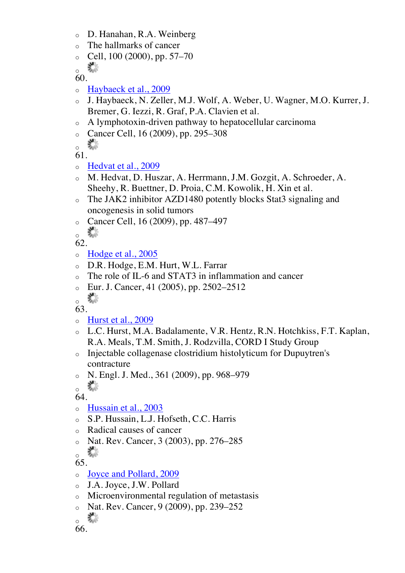- o D. Hanahan, R.A. Weinberg
- o The hallmarks of cancer
- $\degree$  Cell, 100 (2000), pp. 57–70
- $\frac{1}{2}$

- o Haybaeck et al., 2009
- o J. Haybaeck, N. Zeller, M.J. Wolf, A. Weber, U. Wagner, M.O. Kurrer, J. Bremer, G. Iezzi, R. Graf, P.A. Clavien et al.
- o A lymphotoxin-driven pathway to hepatocellular carcinoma
- o Cancer Cell, 16 (2009), pp. 295–308
- K. o

61.

- o Hedvat et al., 2009
- o M. Hedvat, D. Huszar, A. Herrmann, J.M. Gozgit, A. Schroeder, A. Sheehy, R. Buettner, D. Proia, C.M. Kowolik, H. Xin et al.
- o The JAK2 inhibitor AZD1480 potently blocks Stat3 signaling and oncogenesis in solid tumors
- o Cancer Cell, 16 (2009), pp. 487–497
- a de la contrada de la contrada de la contrada de la contrada de la contrada de la contrada de la contrada de<br>En la contrada de la contrada de la contrada de la contrada de la contrada de la contrada de la contrada de la o

62.

- o Hodge et al., 2005
- o D.R. Hodge, E.M. Hurt, W.L. Farrar
- o The role of IL-6 and STAT3 in inflammation and cancer
- $\epsilon$  Eur. J. Cancer, 41 (2005), pp. 2502–2512

R. o

63.

- o Hurst et al., 2009
- o L.C. Hurst, M.A. Badalamente, V.R. Hentz, R.N. Hotchkiss, F.T. Kaplan, R.A. Meals, T.M. Smith, J. Rodzvilla, CORD I Study Group
- o Injectable collagenase clostridium histolyticum for Dupuytren's contracture
- o N. Engl. J. Med., 361 (2009), pp. 968–979

 $\frac{1}{2}$ 

64.

- o Hussain et al., 2003
- o S.P. Hussain, L.J. Hofseth, C.C. Harris
- o Radical causes of cancer
- o Nat. Rev. Cancer, 3 (2003), pp. 276–285 R. o

- o Joyce and Pollard, 2009
- o J.A. Joyce, J.W. Pollard
- o Microenvironmental regulation of metastasis
- o Nat. Rev. Cancer, 9 (2009), pp. 239–252

```
器
o
```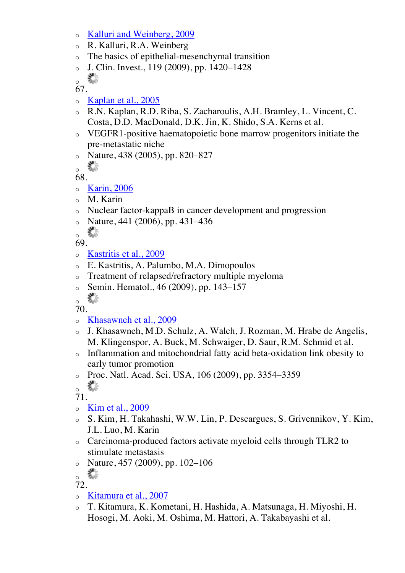- o Kalluri and Weinberg, 2009
- o R. Kalluri, R.A. Weinberg
- o The basics of epithelial-mesenchymal transition
- o J. Clin. Invest., 119 (2009), pp. 1420–1428
- R. o

- o Kaplan et al., 2005
- o R.N. Kaplan, R.D. Riba, S. Zacharoulis, A.H. Bramley, L. Vincent, C. Costa, D.D. MacDonald, D.K. Jin, K. Shido, S.A. Kerns et al.
- o VEGFR1-positive haematopoietic bone marrow progenitors initiate the pre-metastatic niche
- o Nature, 438 (2005), pp. 820–827
- 器 o

68.

- o Karin, 2006
- o M. Karin
- o Nuclear factor-kappaB in cancer development and progression
- $\circ$  Nature, 441 (2006), pp. 431–436
- 聯 o

69.

- o Kastritis et al., 2009
- o E. Kastritis, A. Palumbo, M.A. Dimopoulos
- o Treatment of relapsed/refractory multiple myeloma
- o Semin. Hematol., 46 (2009), pp. 143–157

叢 o

70.

- o Khasawneh et al., 2009
- o J. Khasawneh, M.D. Schulz, A. Walch, J. Rozman, M. Hrabe de Angelis, M. Klingenspor, A. Buck, M. Schwaiger, D. Saur, R.M. Schmid et al.
- o Inflammation and mitochondrial fatty acid beta-oxidation link obesity to early tumor promotion
- o Proc. Natl. Acad. Sci. USA, 106 (2009), pp. 3354–3359

叢 o

- o Kim et al., 2009
- o S. Kim, H. Takahashi, W.W. Lin, P. Descargues, S. Grivennikov, Y. Kim, J.L. Luo, M. Karin
- o Carcinoma-produced factors activate myeloid cells through TLR2 to stimulate metastasis
- $\circ$  Nature, 457 (2009), pp. 102–106

- o Kitamura et al., 2007
- o T. Kitamura, K. Kometani, H. Hashida, A. Matsunaga, H. Miyoshi, H. Hosogi, M. Aoki, M. Oshima, M. Hattori, A. Takabayashi et al.

t. o

<sup>72.</sup>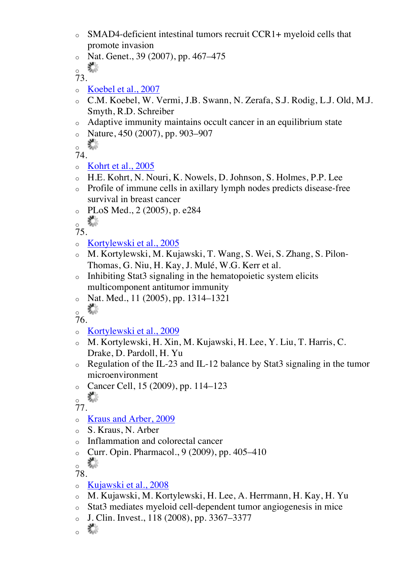- o SMAD4-deficient intestinal tumors recruit CCR1+ myeloid cells that promote invasion
- $\circ$  Nat. Genet., 39 (2007), pp. 467–475
- $\frac{1}{2}$

- o Koebel et al., 2007
- o C.M. Koebel, W. Vermi, J.B. Swann, N. Zerafa, S.J. Rodig, L.J. Old, M.J. Smyth, R.D. Schreiber
- o Adaptive immunity maintains occult cancer in an equilibrium state
- $\circ$  Nature, 450 (2007), pp. 903–907

 $\frac{1}{2}$ 

74.

- $\circ$  Kohrt et al., 2005
- o H.E. Kohrt, N. Nouri, K. Nowels, D. Johnson, S. Holmes, P.P. Lee
- o Profile of immune cells in axillary lymph nodes predicts disease-free survival in breast cancer
- o PLoS Med., 2 (2005), p. e284

 $\frac{1}{2}$ 

75.

- o Kortylewski et al., 2005
- o M. Kortylewski, M. Kujawski, T. Wang, S. Wei, S. Zhang, S. Pilon-Thomas, G. Niu, H. Kay, J. Mulé, W.G. Kerr et al.
- o Inhibiting Stat3 signaling in the hematopoietic system elicits multicomponent antitumor immunity
- $o$  Nat. Med., 11 (2005), pp. 1314–1321

。\*

- 76.
- o Kortylewski et al., 2009
- o M. Kortylewski, H. Xin, M. Kujawski, H. Lee, Y. Liu, T. Harris, C. Drake, D. Pardoll, H. Yu
- o Regulation of the IL-23 and IL-12 balance by Stat3 signaling in the tumor microenvironment
- o Cancer Cell, 15 (2009), pp. 114–123
- 30km<br>이 사용 o

77.

- o Kraus and Arber, 2009
- o S. Kraus, N. Arber
- o Inflammation and colorectal cancer
- o Curr. Opin. Pharmacol., 9 (2009), pp. 405–410

o

- 78.
- o Kujawski et al., 2008
- o M. Kujawski, M. Kortylewski, H. Lee, A. Herrmann, H. Kay, H. Yu
- o Stat3 mediates myeloid cell-dependent tumor angiogenesis in mice
- $O_{\odot}$  J. Clin. Invest., 118 (2008), pp. 3367–3377

R. o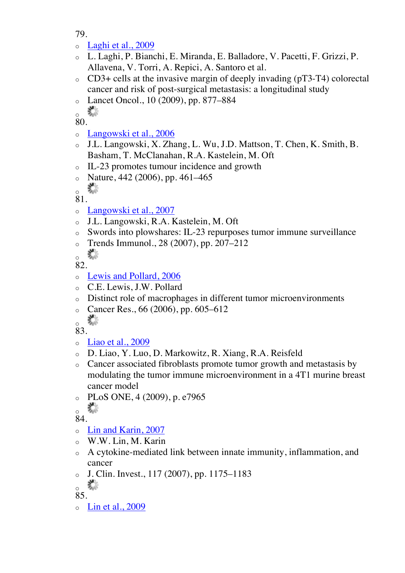- o Laghi et al., 2009
- o L. Laghi, P. Bianchi, E. Miranda, E. Balladore, V. Pacetti, F. Grizzi, P. Allavena, V. Torri, A. Repici, A. Santoro et al.
- o CD3+ cells at the invasive margin of deeply invading (pT3-T4) colorectal cancer and risk of post-surgical metastasis: a longitudinal study
- o Lancet Oncol., 10 (2009), pp. 877–884

▓ o

80.

- o Langowski et al., 2006
- J.L. Langowski, X. Zhang, L. Wu, J.D. Mattson, T. Chen, K. Smith, B. Basham, T. McClanahan, R.A. Kastelein, M. Oft
- o IL-23 promotes tumour incidence and growth
- $\circ$  Nature, 442 (2006), pp. 461–465

▓ o

81.

- o Langowski et al., 2007
- o J.L. Langowski, R.A. Kastelein, M. Oft
- o Swords into plowshares: IL-23 repurposes tumor immune surveillance
- o Trends Immunol., 28 (2007), pp. 207–212

联合 o

82.

- o Lewis and Pollard, 2006
- o C.E. Lewis, J.W. Pollard
- o Distinct role of macrophages in different tumor microenvironments
- o Cancer Res.,  $66 (2006)$ , pp.  $605-612$

R. o

- 83.
- o Liao et al., 2009
- o D. Liao, Y. Luo, D. Markowitz, R. Xiang, R.A. Reisfeld
- o Cancer associated fibroblasts promote tumor growth and metastasis by modulating the tumor immune microenvironment in a 4T1 murine breast cancer model
- o PLoS ONE, 4 (2009), p. e7965

稀 o

84.

- o Lin and Karin, 2007
- o W.W. Lin, M. Karin
- o A cytokine-mediated link between innate immunity, inflammation, and cancer
- $\circ$  J. Clin. Invest., 117 (2007), pp. 1175–1183

K. o

- 85.
- o Lin et al., 2009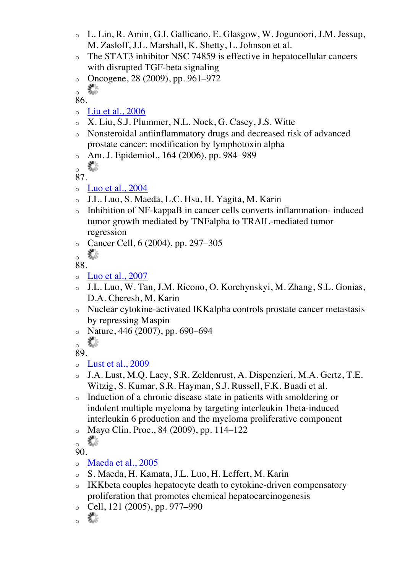- o L. Lin, R. Amin, G.I. Gallicano, E. Glasgow, W. Jogunoori, J.M. Jessup, M. Zasloff, J.L. Marshall, K. Shetty, L. Johnson et al.
- o The STAT3 inhibitor NSC 74859 is effective in hepatocellular cancers with disrupted TGF-beta signaling
- o Oncogene,  $28(2009)$ , pp. 961–972

▓ o

86.

- $\circ$  Liu et al., 2006
- o X. Liu, S.J. Plummer, N.L. Nock, G. Casey, J.S. Witte
- o Nonsteroidal antiinflammatory drugs and decreased risk of advanced prostate cancer: modification by lymphotoxin alpha
- Am. J. Epidemiol., 164 (2006), pp. 984–989

X, o

87.

- $\circ$  Luo et al., 2004
- o J.L. Luo, S. Maeda, L.C. Hsu, H. Yagita, M. Karin
- o Inhibition of NF-kappaB in cancer cells converts inflammation- induced tumor growth mediated by TNFalpha to TRAIL-mediated tumor regression
- o Cancer Cell, 6 (2004), pp. 297–305

88.

- $\circ$  Luo et al., 2007
- o J.L. Luo, W. Tan, J.M. Ricono, O. Korchynskyi, M. Zhang, S.L. Gonias, D.A. Cheresh, M. Karin
- o Nuclear cytokine-activated IKKalpha controls prostate cancer metastasis by repressing Maspin
- $\frac{1}{\sqrt{25}}$  Nature, 446 (2007), pp. 690–694

o

89.

- o Lust et al., 2009
- J.A. Lust, M.Q. Lacy, S.R. Zeldenrust, A. Dispenzieri, M.A. Gertz, T.E. Witzig, S. Kumar, S.R. Hayman, S.J. Russell, F.K. Buadi et al.
- o Induction of a chronic disease state in patients with smoldering or indolent multiple myeloma by targeting interleukin 1beta-induced interleukin 6 production and the myeloma proliferative component
- Mayo Clin. Proc., 84 (2009), pp. 114–122

- o Maeda et al., 2005
- o S. Maeda, H. Kamata, J.L. Luo, H. Leffert, M. Karin
- o IKKbeta couples hepatocyte death to cytokine-driven compensatory proliferation that promotes chemical hepatocarcinogenesis
- $\degree$  Cell, 121 (2005), pp. 977–990
- 鵗 o

联合 o

鈭 o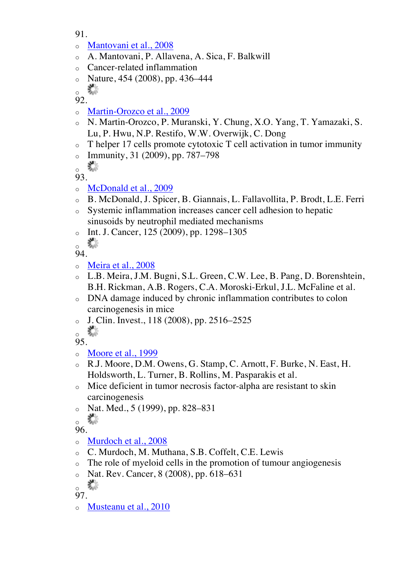- 91.
- o Mantovani et al., 2008
- o A. Mantovani, P. Allavena, A. Sica, F. Balkwill
- o Cancer-related inflammation
- $\circ$  Nature, 454 (2008), pp. 436–444

器 o

92.

- o Martin-Orozco et al., 2009
- o N. Martin-Orozco, P. Muranski, Y. Chung, X.O. Yang, T. Yamazaki, S. Lu, P. Hwu, N.P. Restifo, W.W. Overwijk, C. Dong
- o T helper 17 cells promote cytotoxic T cell activation in tumor immunity
- $\circ$  Immunity, 31 (2009), pp. 787–798
- X, o

93.

- o McDonald et al., 2009
- o B. McDonald, J. Spicer, B. Giannais, L. Fallavollita, P. Brodt, L.E. Ferri
- o Systemic inflammation increases cancer cell adhesion to hepatic sinusoids by neutrophil mediated mechanisms
- o Int. J. Cancer,  $125 (2009)$ , pp. 1298–1305

▓ o

94.

- o Meira et al., 2008
- o L.B. Meira, J.M. Bugni, S.L. Green, C.W. Lee, B. Pang, D. Borenshtein, B.H. Rickman, A.B. Rogers, C.A. Moroski-Erkul, J.L. McFaline et al.
- o DNA damage induced by chronic inflammation contributes to colon carcinogenesis in mice
- o J. Clin. Invest., 118 (2008), pp. 2516–2525
- 壽 o

95.

- o Moore et al., 1999
- o R.J. Moore, D.M. Owens, G. Stamp, C. Arnott, F. Burke, N. East, H. Holdsworth, L. Turner, B. Rollins, M. Pasparakis et al.
- o Mice deficient in tumor necrosis factor-alpha are resistant to skin carcinogenesis
- o Nat. Med., 5 (1999), pp. 828–831

高 o

96.

- o Murdoch et al., 2008
- o C. Murdoch, M. Muthana, S.B. Coffelt, C.E. Lewis
- o The role of myeloid cells in the promotion of tumour angiogenesis
- o Nat. Rev. Cancer, 8 (2008), pp. 618–631

器 o

97.

o Musteanu et al., 2010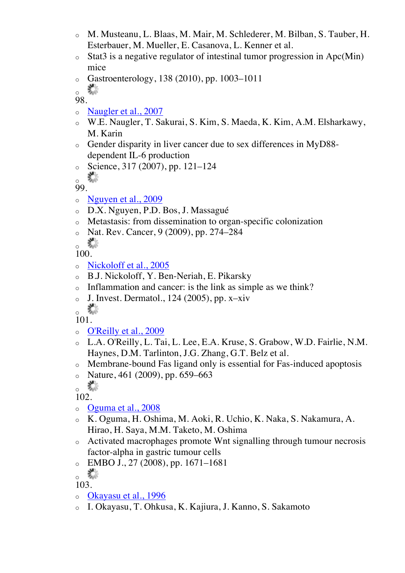- o M. Musteanu, L. Blaas, M. Mair, M. Schlederer, M. Bilban, S. Tauber, H. Esterbauer, M. Mueller, E. Casanova, L. Kenner et al.
- $\circ$  Stat3 is a negative regulator of intestinal tumor progression in Apc(Min) mice
- $\circ$  Gastroenterology, 138 (2010), pp. 1003–1011

▓ o

98.

- o Naugler et al., 2007
- o W.E. Naugler, T. Sakurai, S. Kim, S. Maeda, K. Kim, A.M. Elsharkawy, M. Karin
- o Gender disparity in liver cancer due to sex differences in MyD88 dependent IL-6 production
- $\degree$  Science, 317 (2007), pp. 121–124

器 o

- 99.
- o Nguyen et al., 2009
- o D.X. Nguyen, P.D. Bos, J. Massagué
- o Metastasis: from dissemination to organ-specific colonization
- o Nat. Rev. Cancer, 9 (2009), pp. 274–284

o Xe

100.

- o Nickoloff et al., 2005
- o B.J. Nickoloff, Y. Ben-Neriah, E. Pikarsky
- Inflammation and cancer: is the link as simple as we think?
- $\circ$  J. Invest. Dermatol., 124 (2005), pp. x-xiv
- e de la provincia de la provincia de la provincia de la provincia de la provincia de la provincia de la provincia de la provincia de la provincia de la provincia de la provincia de la provincia de la provincia de la provin o

101.

- o O'Reilly et al., 2009
- o L.A. O'Reilly, L. Tai, L. Lee, E.A. Kruse, S. Grabow, W.D. Fairlie, N.M. Haynes, D.M. Tarlinton, J.G. Zhang, G.T. Belz et al.
- o Membrane-bound Fas ligand only is essential for Fas-induced apoptosis
- $\circ$  Nature, 461 (2009), pp. 659–663

 $\frac{1}{2}$ 

102.

- o Oguma et al., 2008
- o K. Oguma, H. Oshima, M. Aoki, R. Uchio, K. Naka, S. Nakamura, A. Hirao, H. Saya, M.M. Taketo, M. Oshima
- o Activated macrophages promote Wnt signalling through tumour necrosis factor-alpha in gastric tumour cells
- $\circ$  EMBO J., 27 (2008), pp. 1671–1681

- o Okayasu et al., 1996
- o I. Okayasu, T. Ohkusa, K. Kajiura, J. Kanno, S. Sakamoto

o **o**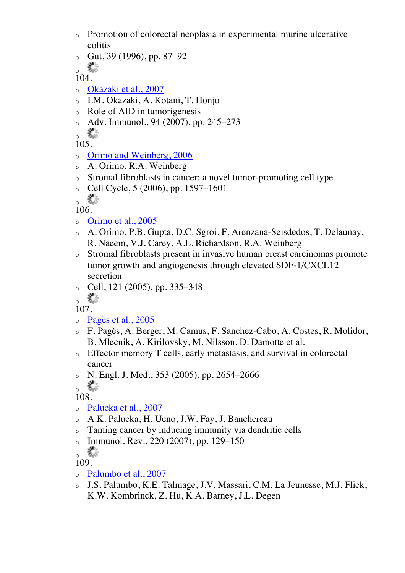- o Promotion of colorectal neoplasia in experimental murine ulcerative colitis
- $\circ$  Gut, 39 (1996), pp. 87–92

o X

104.

- o Okazaki et al., 2007
- o I.M. Okazaki, A. Kotani, T. Honjo
- o Role of AID in tumorigenesis
- o Adv. Immunol., 94 (2007), pp. 245–273

鶩 o

105.

- o Orimo and Weinberg, 2006
- o A. Orimo, R.A. Weinberg
- o Stromal fibroblasts in cancer: a novel tumor-promoting cell type
- $\degree$  Cell Cycle, 5 (2006), pp. 1597–1601

K. o

- 106.
- o Orimo et al., 2005
- o A. Orimo, P.B. Gupta, D.C. Sgroi, F. Arenzana-Seisdedos, T. Delaunay, R. Naeem, V.J. Carey, A.L. Richardson, R.A. Weinberg
- o Stromal fibroblasts present in invasive human breast carcinomas promote tumor growth and angiogenesis through elevated SDF-1/CXCL12 secretion
- $\degree$  Cell, 121 (2005), pp. 335–348

 $\frac{1}{2}$ 

107.

- o Pagès et al., 2005
- o F. Pagès, A. Berger, M. Camus, F. Sanchez-Cabo, A. Costes, R. Molidor, B. Mlecnik, A. Kirilovsky, M. Nilsson, D. Damotte et al.
- o Effector memory T cells, early metastasis, and survival in colorectal cancer
- $N.$  Engl. J. Med., 353 (2005), pp. 2654–2666

。\*\*

108.

- o Palucka et al., 2007
- o A.K. Palucka, H. Ueno, J.W. Fay, J. Banchereau
- o Taming cancer by inducing immunity via dendritic cells
- o Immunol. Rev., 220 (2007), pp. 129–150
- R. o

- o Palumbo et al., 2007
- o J.S. Palumbo, K.E. Talmage, J.V. Massari, C.M. La Jeunesse, M.J. Flick, K.W. Kombrinck, Z. Hu, K.A. Barney, J.L. Degen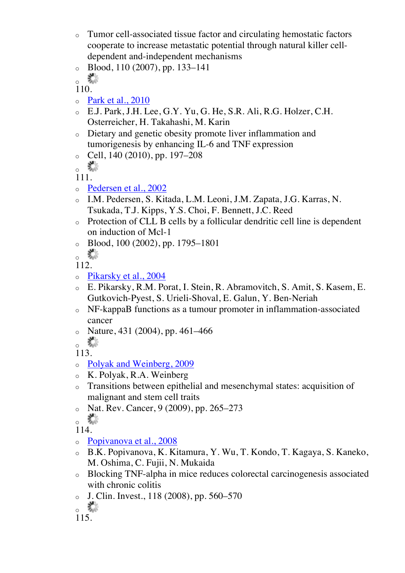- o Tumor cell-associated tissue factor and circulating hemostatic factors cooperate to increase metastatic potential through natural killer celldependent and-independent mechanisms
- $\circ$  Blood, 110 (2007), pp. 133–141
- 聯 o

- o Park et al., 2010
- o E.J. Park, J.H. Lee, G.Y. Yu, G. He, S.R. Ali, R.G. Holzer, C.H. Osterreicher, H. Takahashi, M. Karin
- o Dietary and genetic obesity promote liver inflammation and tumorigenesis by enhancing IL-6 and TNF expression
- $\degree$  Cell, 140 (2010), pp. 197–208
- o Xe

111.

- o Pedersen et al., 2002
- o I.M. Pedersen, S. Kitada, L.M. Leoni, J.M. Zapata, J.G. Karras, N. Tsukada, T.J. Kipps, Y.S. Choi, F. Bennett, J.C. Reed
- o Protection of CLL B cells by a follicular dendritic cell line is dependent on induction of Mcl-1
- $\circ$  Blood, 100 (2002), pp. 1795–1801

112.

- o Pikarsky et al., 2004
- o E. Pikarsky, R.M. Porat, I. Stein, R. Abramovitch, S. Amit, S. Kasem, E. Gutkovich-Pyest, S. Urieli-Shoval, E. Galun, Y. Ben-Neriah
- o NF-kappaB functions as a tumour promoter in inflammation-associated cancer
- $\circ$  Nature, 431 (2004), pp. 461–466

o **W** 

113.

- o Polyak and Weinberg, 2009
- o K. Polyak, R.A. Weinberg
- o Transitions between epithelial and mesenchymal states: acquisition of malignant and stem cell traits
- o Nat. Rev. Cancer, 9 (2009), pp. 265–273

 $\frac{1}{2}$ 

- o Popivanova et al., 2008
- o B.K. Popivanova, K. Kitamura, Y. Wu, T. Kondo, T. Kagaya, S. Kaneko, M. Oshima, C. Fujii, N. Mukaida
- o Blocking TNF-alpha in mice reduces colorectal carcinogenesis associated with chronic colitis
- $\circ$  J. Clin. Invest., 118 (2008), pp. 560–570

K. o

 $\frac{1}{2}$ 

<sup>115.</sup>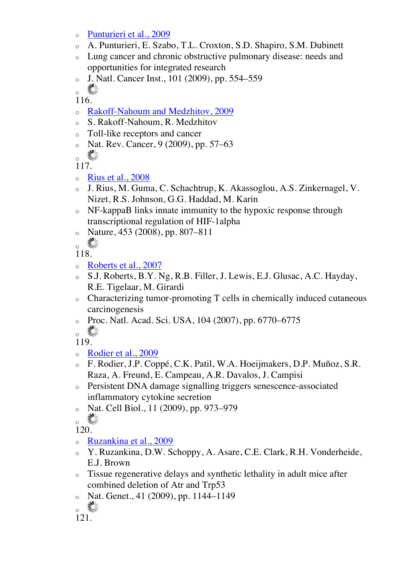- o Punturieri et al., 2009
- o A. Punturieri, E. Szabo, T.L. Croxton, S.D. Shapiro, S.M. Dubinett
- o Lung cancer and chronic obstructive pulmonary disease: needs and opportunities for integrated research
- o J. Natl. Cancer Inst., 101 (2009), pp. 554–559

器 o

116.

- o Rakoff-Nahoum and Medzhitov, 2009
- o S. Rakoff-Nahoum, R. Medzhitov
- o Toll-like receptors and cancer
- o Nat. Rev. Cancer, 9 (2009), pp. 57–63

器 o

117.

- $\circ$  Rius et al., 2008
- o J. Rius, M. Guma, C. Schachtrup, K. Akassoglou, A.S. Zinkernagel, V. Nizet, R.S. Johnson, G.G. Haddad, M. Karin
- o NF-kappaB links innate immunity to the hypoxic response through transcriptional regulation of HIF-1alpha
- $\circ$  Nature, 453 (2008), pp. 807–811

o

118.

- o Roberts et al., 2007
- S.J. Roberts, B.Y. Ng, R.B. Filler, J. Lewis, E.J. Glusac, A.C. Hayday, R.E. Tigelaar, M. Girardi
- o Characterizing tumor-promoting T cells in chemically induced cutaneous carcinogenesis
- o Proc. Natl. Acad. Sci. USA, 104 (2007), pp. 6770–6775
- K. o

119.

- o Rodier et al., 2009
- o F. Rodier, J.P. Coppé, C.K. Patil, W.A. Hoeijmakers, D.P. Muñoz, S.R. Raza, A. Freund, E. Campeau, A.R. Davalos, J. Campisi
- o Persistent DNA damage signalling triggers senescence-associated inflammatory cytokine secretion
- o Nat. Cell Biol., 11 (2009), pp. 973–979

 $\frac{1}{2}$ 

- o Ruzankina et al., 2009
- o Y. Ruzankina, D.W. Schoppy, A. Asare, C.E. Clark, R.H. Vonderheide, E.J. Brown
- o Tissue regenerative delays and synthetic lethality in adult mice after combined deletion of Atr and Trp53
- o Nat. Genet., 41 (2009), pp. 1144–1149

 $\frac{1}{2}$ 

<sup>121.</sup>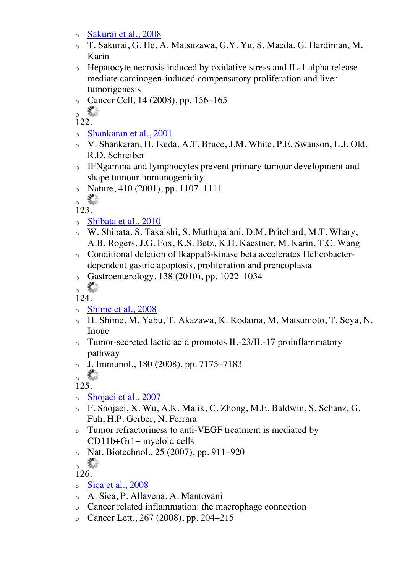- o Sakurai et al., 2008
- o T. Sakurai, G. He, A. Matsuzawa, G.Y. Yu, S. Maeda, G. Hardiman, M. Karin
- o Hepatocyte necrosis induced by oxidative stress and IL-1 alpha release mediate carcinogen-induced compensatory proliferation and liver tumorigenesis
- $\circ$  Cancer Cell, 14 (2008), pp. 156–165

o X

122.

- o Shankaran et al., 2001
- o V. Shankaran, H. Ikeda, A.T. Bruce, J.M. White, P.E. Swanson, L.J. Old, R.D. Schreiber
- o IFNgamma and lymphocytes prevent primary tumour development and shape tumour immunogenicity
- $\circ$  Nature, 410 (2001), pp. 1107–1111

o ste

- 123.
- o Shibata et al., 2010
- o W. Shibata, S. Takaishi, S. Muthupalani, D.M. Pritchard, M.T. Whary, A.B. Rogers, J.G. Fox, K.S. Betz, K.H. Kaestner, M. Karin, T.C. Wang
- o Conditional deletion of IkappaB-kinase beta accelerates Helicobacterdependent gastric apoptosis, proliferation and preneoplasia
- o Gastroenterology, 138 (2010), pp. 1022–1034
- o X

124.

- o Shime et al., 2008
- o H. Shime, M. Yabu, T. Akazawa, K. Kodama, M. Matsumoto, T. Seya, N. Inoue
- o Tumor-secreted lactic acid promotes IL-23/IL-17 proinflammatory pathway
- o J. Immunol., 180 (2008), pp. 7175–7183

 $125$ 

- o Shojaei et al., 2007
- o F. Shojaei, X. Wu, A.K. Malik, C. Zhong, M.E. Baldwin, S. Schanz, G. Fuh, H.P. Gerber, N. Ferrara
- o Tumor refractoriness to anti-VEGF treatment is mediated by CD11b+Gr1+ myeloid cells
- $\circ$  Nat. Biotechnol., 25 (2007), pp. 911–920

 $\frac{1}{2}$ 

- 126.
- o Sica et al., 2008
- o A. Sica, P. Allavena, A. Mantovani
- o Cancer related inflammation: the macrophage connection
- o Cancer Lett., 267 (2008), pp. 204–215

 $\frac{1}{2}$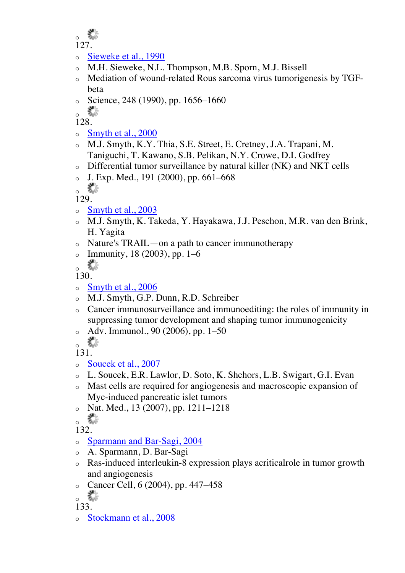o 127.

## o Sieweke et al., 1990

- M.H. Sieweke, N.L. Thompson, M.B. Sporn, M.J. Bissell
- o Mediation of wound-related Rous sarcoma virus tumorigenesis by TGFbeta
- $\circ$  Science, 248 (1990), pp. 1656–1660

鶩 o

128.

- $\circ$  Smyth et al., 2000
- o M.J. Smyth, K.Y. Thia, S.E. Street, E. Cretney, J.A. Trapani, M. Taniguchi, T. Kawano, S.B. Pelikan, N.Y. Crowe, D.I. Godfrey
- o Differential tumor surveillance by natural killer (NK) and NKT cells
- $J.$  Exp. Med., 191 (2000), pp. 661–668

o X

129.

- o Smyth et al., 2003
- o M.J. Smyth, K. Takeda, Y. Hayakawa, J.J. Peschon, M.R. van den Brink, H. Yagita
- o Nature's TRAIL—on a path to cancer immunotherapy
- $\circ$  Immunity, 18 (2003), pp. 1–6

o Xe

130.

- o Smyth et al., 2006
- o M.J. Smyth, G.P. Dunn, R.D. Schreiber
- o Cancer immunosurveillance and immunoediting: the roles of immunity in suppressing tumor development and shaping tumor immunogenicity
- o Adv. Immunol., 90 (2006), pp. 1–50

 $\frac{1}{2}$ 

131.

- o Soucek et al., 2007
- o L. Soucek, E.R. Lawlor, D. Soto, K. Shchors, L.B. Swigart, G.I. Evan
- o Mast cells are required for angiogenesis and macroscopic expansion of Myc-induced pancreatic islet tumors
- $\circ$  Nat. Med., 13 (2007), pp. 1211–1218

o **with** 

132.

- o Sparmann and Bar-Sagi, 2004
- A. Sparmann, D. Bar-Sagi
- o Ras-induced interleukin-8 expression plays acriticalrole in tumor growth and angiogenesis
- $\circ$  Cancer Cell, 6 (2004), pp. 447–458

o **de** 

133.

o Stockmann et al., 2008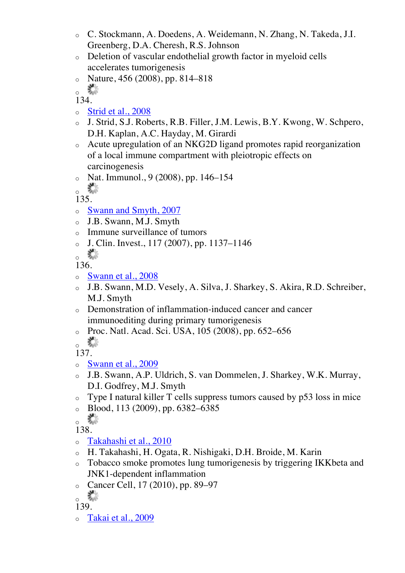- o C. Stockmann, A. Doedens, A. Weidemann, N. Zhang, N. Takeda, J.I. Greenberg, D.A. Cheresh, R.S. Johnson
- o Deletion of vascular endothelial growth factor in myeloid cells accelerates tumorigenesis
- $\circ$  Nature, 456 (2008), pp. 814–818

 $\frac{1}{2}$ 

134.

- o Strid et al., 2008
- o J. Strid, S.J. Roberts, R.B. Filler, J.M. Lewis, B.Y. Kwong, W. Schpero, D.H. Kaplan, A.C. Hayday, M. Girardi
- o Acute upregulation of an NKG2D ligand promotes rapid reorganization of a local immune compartment with pleiotropic effects on carcinogenesis
- o Nat. Immunol., 9 (2008), pp. 146–154

 $\frac{1}{2}$ 

- 135.
- o Swann and Smyth, 2007
- o J.B. Swann, M.J. Smyth
- o Immune surveillance of tumors
- $\circ$  J. Clin. Invest., 117 (2007), pp. 1137–1146

高 o

136.

- o Swann et al., 2008
- o J.B. Swann, M.D. Vesely, A. Silva, J. Sharkey, S. Akira, R.D. Schreiber, M.J. Smyth
- o Demonstration of inflammation-induced cancer and cancer immunoediting during primary tumorigenesis
- o Proc. Natl. Acad. Sci. USA, 105 (2008), pp. 652–656

o **W** 

137.

- o Swann et al., 2009
- o J.B. Swann, A.P. Uldrich, S. van Dommelen, J. Sharkey, W.K. Murray, D.I. Godfrey, M.J. Smyth
- o Type I natural killer T cells suppress tumors caused by p53 loss in mice
- $\circ$  Blood, 113 (2009), pp. 6382–6385

138.

- o Takahashi et al., 2010
- o H. Takahashi, H. Ogata, R. Nishigaki, D.H. Broide, M. Karin
- o Tobacco smoke promotes lung tumorigenesis by triggering IKKbeta and JNK1-dependent inflammation
- o Cancer Cell, 17 (2010), pp. 89–97

o Sta

139.

o Takai et al., 2009

 $\frac{1}{2}$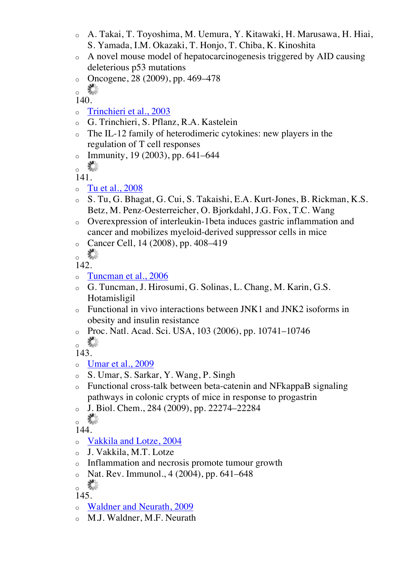- o A. Takai, T. Toyoshima, M. Uemura, Y. Kitawaki, H. Marusawa, H. Hiai, S. Yamada, I.M. Okazaki, T. Honjo, T. Chiba, K. Kinoshita
- o A novel mouse model of hepatocarcinogenesis triggered by AID causing deleterious p53 mutations
- o Oncogene, 28 (2009), pp. 469–478

叢 o

140.

- o Trinchieri et al., 2003
- o G. Trinchieri, S. Pflanz, R.A. Kastelein
- o The IL-12 family of heterodimeric cytokines: new players in the regulation of T cell responses
- $\circ$  Immunity, 19 (2003), pp. 641–644
- $\frac{1}{2}$

141.

- o Tu et al., 2008
- o S. Tu, G. Bhagat, G. Cui, S. Takaishi, E.A. Kurt-Jones, B. Rickman, K.S. Betz, M. Penz-Oesterreicher, O. Bjorkdahl, J.G. Fox, T.C. Wang
- o Overexpression of interleukin-1beta induces gastric inflammation and cancer and mobilizes myeloid-derived suppressor cells in mice
- o Cancer Cell, 14 (2008), pp. 408–419

K. o

142.

- o Tuncman et al., 2006
- o G. Tuncman, J. Hirosumi, G. Solinas, L. Chang, M. Karin, G.S. Hotamisligil
- o Functional in vivo interactions between JNK1 and JNK2 isoforms in obesity and insulin resistance
- o Proc. Natl. Acad. Sci. USA, 103 (2006), pp. 10741–10746  $\frac{1}{2}$

143.

- o Umar et al., 2009
- o S. Umar, S. Sarkar, Y. Wang, P. Singh
- o Functional cross-talk between beta-catenin and NFkappaB signaling pathways in colonic crypts of mice in response to progastrin
- o J. Biol. Chem., 284 (2009), pp. 22274–22284

 $\frac{1}{2}$ 

144.

- o Vakkila and Lotze, 2004
- o J. Vakkila, M.T. Lotze
- o Inflammation and necrosis promote tumour growth
- $\circ$  Nat. Rev. Immunol., 4 (2004), pp. 641–648

o <del>w</del>

- 145.
- o Waldner and Neurath, 2009
- o M.J. Waldner, M.F. Neurath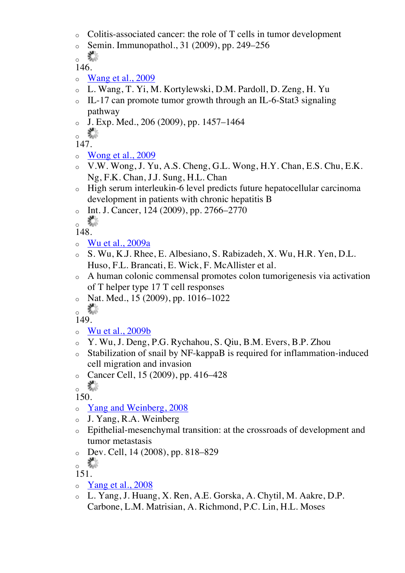- o Colitis-associated cancer: the role of T cells in tumor development
- o Semin. Immunopathol., 31 (2009), pp. 249–256

K. o 146.

- $\circ$  Wang et al., 2009
- o L. Wang, T. Yi, M. Kortylewski, D.M. Pardoll, D. Zeng, H. Yu
- o IL-17 can promote tumor growth through an IL-6-Stat3 signaling pathway
- $J.$  Exp. Med., 206 (2009), pp. 1457–1464

63 o

147.

- o Wong et al., 2009
- o V.W. Wong, J. Yu, A.S. Cheng, G.L. Wong, H.Y. Chan, E.S. Chu, E.K. Ng, F.K. Chan, J.J. Sung, H.L. Chan
- o High serum interleukin-6 level predicts future hepatocellular carcinoma development in patients with chronic hepatitis B
- $\circ$  Int. J. Cancer, 124 (2009), pp. 2766–2770

o **Ma** 

148.

- $\circ$  Wu et al., 2009a
- o S. Wu, K.J. Rhee, E. Albesiano, S. Rabizadeh, X. Wu, H.R. Yen, D.L. Huso, F.L. Brancati, E. Wick, F. McAllister et al.
- o A human colonic commensal promotes colon tumorigenesis via activation of T helper type 17 T cell responses
- $\circ$  Nat. Med., 15 (2009), pp. 1016–1022

o X

149.

- o Wu et al., 2009b
- o Y. Wu, J. Deng, P.G. Rychahou, S. Qiu, B.M. Evers, B.P. Zhou
- o Stabilization of snail by NF-kappaB is required for inflammation-induced cell migration and invasion
- o Cancer Cell, 15 (2009), pp. 416–428

。\*\*

150.

- o Yang and Weinberg, 2008
- o J. Yang, R.A. Weinberg
- o Epithelial-mesenchymal transition: at the crossroads of development and tumor metastasis
- o Dev. Cell, 14 (2008), pp. 818–829
- $\frac{1}{2}$

- $\circ$  Yang et al., 2008
- o L. Yang, J. Huang, X. Ren, A.E. Gorska, A. Chytil, M. Aakre, D.P. Carbone, L.M. Matrisian, A. Richmond, P.C. Lin, H.L. Moses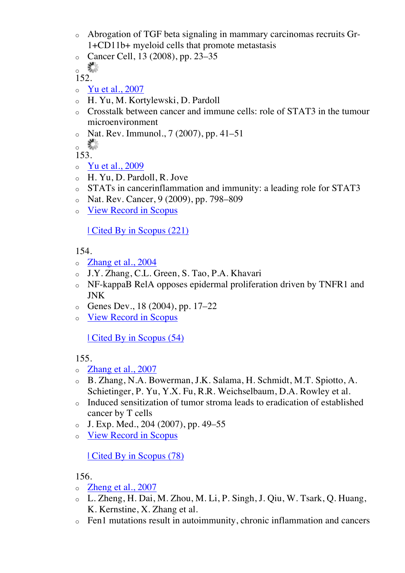- o Abrogation of TGF beta signaling in mammary carcinomas recruits Gr-1+CD11b+ myeloid cells that promote metastasis
- o Cancer Cell, 13 (2008), pp. 23–35
- $\circ$   $\frac{90}{90}$

- o Yu et al., 2007
- o H. Yu, M. Kortylewski, D. Pardoll
- o Crosstalk between cancer and immune cells: role of STAT3 in the tumour microenvironment
- $\circ$  Nat. Rev. Immunol., 7 (2007), pp. 41–51

o ste

153.

- o Yu et al., 2009
- o H. Yu, D. Pardoll, R. Jove
- o STATs in cancerinflammation and immunity: a leading role for STAT3
- o Nat. Rev. Cancer, 9 (2009), pp. 798–809
- o View Record in Scopus

| Cited By in Scopus (221)

154.

- $\circ$  Zhang et al., 2004
- o J.Y. Zhang, C.L. Green, S. Tao, P.A. Khavari
- o NF-kappaB RelA opposes epidermal proliferation driven by TNFR1 and JNK
- $\circ$  Genes Dev., 18 (2004), pp. 17–22
- o View Record in Scopus

| Cited By in Scopus (54)

155.

- o Zhang et al., 2007
- o B. Zhang, N.A. Bowerman, J.K. Salama, H. Schmidt, M.T. Spiotto, A. Schietinger, P. Yu, Y.X. Fu, R.R. Weichselbaum, D.A. Rowley et al.
- o Induced sensitization of tumor stroma leads to eradication of established cancer by T cells
- $\circ$  J. Exp. Med., 204 (2007), pp. 49–55
- o View Record in Scopus

| Cited By in Scopus (78)

- o Zheng et al., 2007
- o L. Zheng, H. Dai, M. Zhou, M. Li, P. Singh, J. Qiu, W. Tsark, Q. Huang, K. Kernstine, X. Zhang et al.
- o Fen1 mutations result in autoimmunity, chronic inflammation and cancers